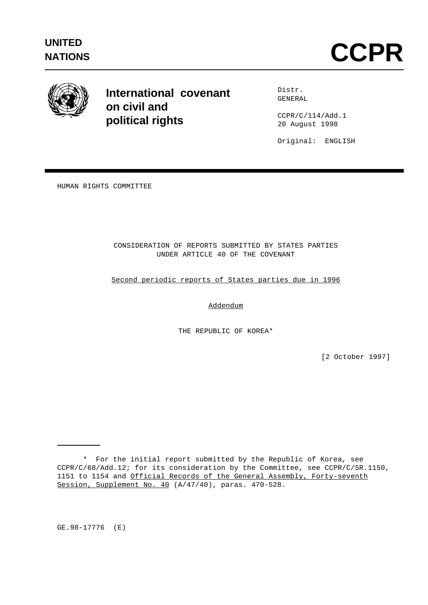

**International covenant on civil and political rights**

Distr. GENERAL

CCPR/C/114/Add.1 20 August 1998

Original: ENGLISH

HUMAN RIGHTS COMMITTEE

CONSIDERATION OF REPORTS SUBMITTED BY STATES PARTIES UNDER ARTICLE 40 OF THE COVENANT

Second periodic reports of States parties due in 1996

Addendum

THE REPUBLIC OF KOREA\*

[2 October 1997]

GE.98-17776 (E)

<sup>\*</sup> For the initial report submitted by the Republic of Korea, see CCPR/C/68/Add.12; for its consideration by the Committee, see CCPR/C/SR.1150, 1151 to 1154 and Official Records of the General Assembly, Forty-seventh Session, Supplement No. 40 (A/47/40), paras. 470-528.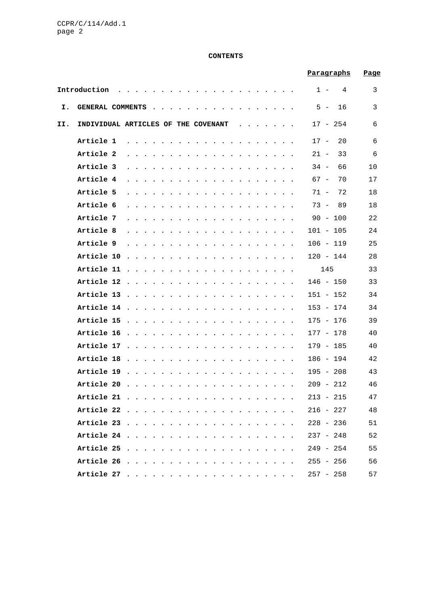# **CONTENTS**

|     |                                     |                             |  |                                                                                                                                                                                                                                   | Paragraphs   | <u>Page</u> |
|-----|-------------------------------------|-----------------------------|--|-----------------------------------------------------------------------------------------------------------------------------------------------------------------------------------------------------------------------------------|--------------|-------------|
|     | Introduction                        |                             |  | $\mathbf{r}$ , $\mathbf{r}$ , $\mathbf{r}$ , $\mathbf{r}$ , $\mathbf{r}$ , $\mathbf{r}$ , $\mathbf{r}$                                                                                                                            | $1 -$<br>4   | 3           |
| I.  | GENERAL COMMENTS                    |                             |  |                                                                                                                                                                                                                                   | $5 - 16$     | 3           |
| II. | INDIVIDUAL ARTICLES OF THE COVENANT |                             |  | $\mathbf{L} = \mathbf{L} \times \mathbf{L}$                                                                                                                                                                                       | $17 - 254$   | 6           |
|     | Article 1                           |                             |  |                                                                                                                                                                                                                                   | 20<br>$17 -$ | 6           |
|     | Article 2                           |                             |  |                                                                                                                                                                                                                                   | $21 -$<br>33 | 6           |
|     | Article 3                           |                             |  |                                                                                                                                                                                                                                   | 66<br>$34 -$ | 10          |
|     | Article 4                           |                             |  |                                                                                                                                                                                                                                   | 70<br>67 –   | 17          |
|     | Article 5                           |                             |  |                                                                                                                                                                                                                                   | 72<br>71 -   | 18          |
|     | Article 6                           |                             |  |                                                                                                                                                                                                                                   | $73 - 89$    | 18          |
|     | Article 7                           |                             |  | the contract of the contract of the                                                                                                                                                                                               | $90 - 100$   | 22          |
|     | Article 8                           |                             |  | $\mathbf{r}$ . The contract of the contract of the contract of the contract of the contract of the contract of the contract of the contract of the contract of the contract of the contract of the contract of the contract of th | $101 - 105$  | 24          |
|     | Article 9                           |                             |  | the contract of the contract of the contract of                                                                                                                                                                                   | $106 - 119$  | 25          |
|     | Article 10                          |                             |  | the contract of the contract of the contract of the contract of the contract of the contract of the contract of the contract of the contract of the contract of the contract of the contract of the contract of the contract o    | $120 - 144$  | 28          |
|     | Article 11                          |                             |  | the second contract of the second contract of the second contract of the second contract of the second contract of the second contract of the second contract of the second contract of the second contract of the second cont    | 145          | 33          |
|     |                                     |                             |  |                                                                                                                                                                                                                                   | $146 - 150$  | 33          |
|     |                                     |                             |  |                                                                                                                                                                                                                                   | 151 - 152    | 34          |
|     |                                     |                             |  |                                                                                                                                                                                                                                   | $153 - 174$  | 34          |
|     |                                     |                             |  |                                                                                                                                                                                                                                   | 175 - 176    | 39          |
|     |                                     |                             |  |                                                                                                                                                                                                                                   | 177 - 178    | 40          |
|     | Article 17                          |                             |  | the contract of the contract of the contract of the contract of the contract of the contract of the contract of                                                                                                                   | 179 - 185    | 40          |
|     | Article 18                          |                             |  | the contract of the contract of the contract of the contract of the contract of the contract of the contract of the contract of the contract of the contract of the contract of the contract of the contract of the contract o    | 186 - 194    | 42          |
|     | Article 19                          | $\mathbf{r}$ . $\mathbf{r}$ |  |                                                                                                                                                                                                                                   | $195 - 208$  | 43          |
|     | Article 20                          |                             |  |                                                                                                                                                                                                                                   | $209 - 212$  | 46          |
|     |                                     |                             |  |                                                                                                                                                                                                                                   | $213 - 215$  | 47          |
|     |                                     |                             |  |                                                                                                                                                                                                                                   | $216 - 227$  | 48          |
|     |                                     |                             |  |                                                                                                                                                                                                                                   | $228 - 236$  | 51          |
|     |                                     |                             |  |                                                                                                                                                                                                                                   | $237 - 248$  | 52          |
|     |                                     |                             |  |                                                                                                                                                                                                                                   | $249 - 254$  | 55          |
|     |                                     |                             |  |                                                                                                                                                                                                                                   | $255 - 256$  | 56          |
|     |                                     |                             |  |                                                                                                                                                                                                                                   | $257 - 258$  | 57          |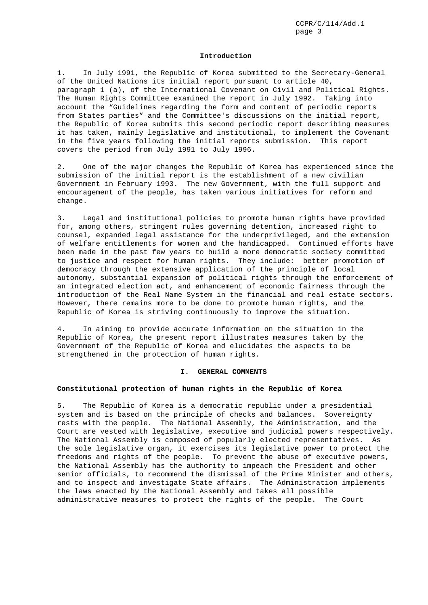#### **Introduction**

1. In July 1991, the Republic of Korea submitted to the Secretary-General of the United Nations its initial report pursuant to article 40, paragraph 1 (a), of the International Covenant on Civil and Political Rights. The Human Rights Committee examined the report in July 1992. Taking into account the "Guidelines regarding the form and content of periodic reports from States parties" and the Committee's discussions on the initial report, the Republic of Korea submits this second periodic report describing measures it has taken, mainly legislative and institutional, to implement the Covenant in the five years following the initial reports submission. This report covers the period from July 1991 to July 1996.

2. One of the major changes the Republic of Korea has experienced since the submission of the initial report is the establishment of a new civilian Government in February 1993. The new Government, with the full support and encouragement of the people, has taken various initiatives for reform and change.

3. Legal and institutional policies to promote human rights have provided for, among others, stringent rules governing detention, increased right to counsel, expanded legal assistance for the underprivileged, and the extension of welfare entitlements for women and the handicapped. Continued efforts have been made in the past few years to build a more democratic society committed to justice and respect for human rights. They include: better promotion of democracy through the extensive application of the principle of local autonomy, substantial expansion of political rights through the enforcement of an integrated election act, and enhancement of economic fairness through the introduction of the Real Name System in the financial and real estate sectors. However, there remains more to be done to promote human rights, and the Republic of Korea is striving continuously to improve the situation.

4. In aiming to provide accurate information on the situation in the Republic of Korea, the present report illustrates measures taken by the Government of the Republic of Korea and elucidates the aspects to be strengthened in the protection of human rights.

#### **I. GENERAL COMMENTS**

# **Constitutional protection of human rights in the Republic of Korea**

5. The Republic of Korea is a democratic republic under a presidential system and is based on the principle of checks and balances. Sovereignty rests with the people. The National Assembly, the Administration, and the Court are vested with legislative, executive and judicial powers respectively. The National Assembly is composed of popularly elected representatives. As the sole legislative organ, it exercises its legislative power to protect the freedoms and rights of the people. To prevent the abuse of executive powers, the National Assembly has the authority to impeach the President and other senior officials, to recommend the dismissal of the Prime Minister and others, and to inspect and investigate State affairs. The Administration implements the laws enacted by the National Assembly and takes all possible administrative measures to protect the rights of the people. The Court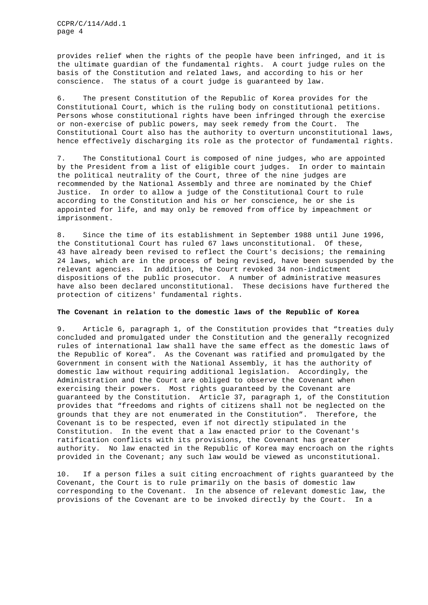provides relief when the rights of the people have been infringed, and it is the ultimate guardian of the fundamental rights. A court judge rules on the basis of the Constitution and related laws, and according to his or her conscience. The status of a court judge is guaranteed by law.

6. The present Constitution of the Republic of Korea provides for the Constitutional Court, which is the ruling body on constitutional petitions. Persons whose constitutional rights have been infringed through the exercise or non-exercise of public powers, may seek remedy from the Court. The Constitutional Court also has the authority to overturn unconstitutional laws, hence effectively discharging its role as the protector of fundamental rights.

7. The Constitutional Court is composed of nine judges, who are appointed by the President from a list of eligible court judges. In order to maintain the political neutrality of the Court, three of the nine judges are recommended by the National Assembly and three are nominated by the Chief Justice. In order to allow a judge of the Constitutional Court to rule according to the Constitution and his or her conscience, he or she is appointed for life, and may only be removed from office by impeachment or imprisonment.

8. Since the time of its establishment in September 1988 until June 1996, the Constitutional Court has ruled 67 laws unconstitutional. Of these, 43 have already been revised to reflect the Court's decisions; the remaining 24 laws, which are in the process of being revised, have been suspended by the relevant agencies. In addition, the Court revoked 34 non-indictment dispositions of the public prosecutor. A number of administrative measures have also been declared unconstitutional. These decisions have furthered the protection of citizens' fundamental rights.

# **The Covenant in relation to the domestic laws of the Republic of Korea**

9. Article 6, paragraph 1, of the Constitution provides that "treaties duly concluded and promulgated under the Constitution and the generally recognized rules of international law shall have the same effect as the domestic laws of the Republic of Korea". As the Covenant was ratified and promulgated by the Government in consent with the National Assembly, it has the authority of domestic law without requiring additional legislation. Accordingly, the Administration and the Court are obliged to observe the Covenant when exercising their powers. Most rights guaranteed by the Covenant are guaranteed by the Constitution. Article 37, paragraph 1, of the Constitution provides that "freedoms and rights of citizens shall not be neglected on the grounds that they are not enumerated in the Constitution". Therefore, the Covenant is to be respected, even if not directly stipulated in the Constitution. In the event that a law enacted prior to the Covenant's ratification conflicts with its provisions, the Covenant has greater authority. No law enacted in the Republic of Korea may encroach on the rights provided in the Covenant; any such law would be viewed as unconstitutional.

10. If a person files a suit citing encroachment of rights guaranteed by the Covenant, the Court is to rule primarily on the basis of domestic law corresponding to the Covenant. In the absence of relevant domestic law, the provisions of the Covenant are to be invoked directly by the Court. In a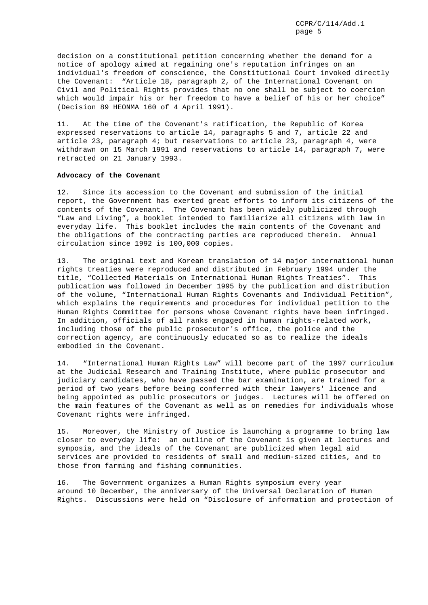decision on a constitutional petition concerning whether the demand for a notice of apology aimed at regaining one's reputation infringes on an individual's freedom of conscience, the Constitutional Court invoked directly the Covenant: "Article 18, paragraph 2, of the International Covenant on Civil and Political Rights provides that no one shall be subject to coercion which would impair his or her freedom to have a belief of his or her choice" (Decision 89 HEONMA 160 of 4 April 1991).

11. At the time of the Covenant's ratification, the Republic of Korea expressed reservations to article 14, paragraphs 5 and 7, article 22 and article 23, paragraph 4; but reservations to article 23, paragraph 4, were withdrawn on 15 March 1991 and reservations to article 14, paragraph 7, were retracted on 21 January 1993.

# **Advocacy of the Covenant**

12. Since its accession to the Covenant and submission of the initial report, the Government has exerted great efforts to inform its citizens of the contents of the Covenant. The Covenant has been widely publicized through "Law and Living", a booklet intended to familiarize all citizens with law in everyday life. This booklet includes the main contents of the Covenant and the obligations of the contracting parties are reproduced therein. Annual circulation since 1992 is 100,000 copies.

13. The original text and Korean translation of 14 major international human rights treaties were reproduced and distributed in February 1994 under the title, "Collected Materials on International Human Rights Treaties". This publication was followed in December 1995 by the publication and distribution of the volume, "International Human Rights Covenants and Individual Petition", which explains the requirements and procedures for individual petition to the Human Rights Committee for persons whose Covenant rights have been infringed. In addition, officials of all ranks engaged in human rights-related work, including those of the public prosecutor's office, the police and the correction agency, are continuously educated so as to realize the ideals embodied in the Covenant.

14. "International Human Rights Law" will become part of the 1997 curriculum at the Judicial Research and Training Institute, where public prosecutor and judiciary candidates, who have passed the bar examination, are trained for a period of two years before being conferred with their lawyers' licence and being appointed as public prosecutors or judges. Lectures will be offered on the main features of the Covenant as well as on remedies for individuals whose Covenant rights were infringed.

15. Moreover, the Ministry of Justice is launching a programme to bring law closer to everyday life: an outline of the Covenant is given at lectures and symposia, and the ideals of the Covenant are publicized when legal aid services are provided to residents of small and medium-sized cities, and to those from farming and fishing communities.

16. The Government organizes a Human Rights symposium every year around 10 December, the anniversary of the Universal Declaration of Human Rights. Discussions were held on "Disclosure of information and protection of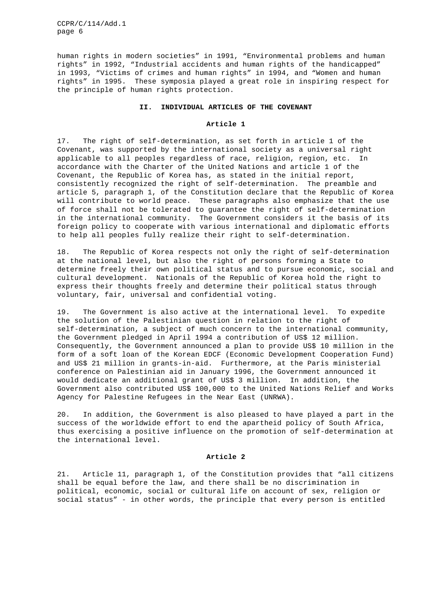human rights in modern societies" in 1991, "Environmental problems and human rights" in 1992, "Industrial accidents and human rights of the handicapped" in 1993, "Victims of crimes and human rights" in 1994, and "Women and human rights" in 1995. These symposia played a great role in inspiring respect for the principle of human rights protection.

# **II. INDIVIDUAL ARTICLES OF THE COVENANT**

### **Article 1**

17. The right of self-determination, as set forth in article 1 of the Covenant, was supported by the international society as a universal right applicable to all peoples regardless of race, religion, region, etc. In accordance with the Charter of the United Nations and article 1 of the Covenant, the Republic of Korea has, as stated in the initial report, consistently recognized the right of self-determination. The preamble and article 5, paragraph 1, of the Constitution declare that the Republic of Korea will contribute to world peace. These paragraphs also emphasize that the use of force shall not be tolerated to guarantee the right of self-determination in the international community. The Government considers it the basis of its foreign policy to cooperate with various international and diplomatic efforts to help all peoples fully realize their right to self-determination.

18. The Republic of Korea respects not only the right of self-determination at the national level, but also the right of persons forming a State to determine freely their own political status and to pursue economic, social and cultural development. Nationals of the Republic of Korea hold the right to express their thoughts freely and determine their political status through voluntary, fair, universal and confidential voting.

19. The Government is also active at the international level. To expedite the solution of the Palestinian question in relation to the right of self-determination, a subject of much concern to the international community, the Government pledged in April 1994 a contribution of US\$ 12 million. Consequently, the Government announced a plan to provide US\$ 10 million in the form of a soft loan of the Korean EDCF (Economic Development Cooperation Fund) and US\$ 21 million in grants-in-aid. Furthermore, at the Paris ministerial conference on Palestinian aid in January 1996, the Government announced it would dedicate an additional grant of US\$ 3 million. In addition, the Government also contributed US\$ 100,000 to the United Nations Relief and Works Agency for Palestine Refugees in the Near East (UNRWA).

20. In addition, the Government is also pleased to have played a part in the success of the worldwide effort to end the apartheid policy of South Africa, thus exercising a positive influence on the promotion of self-determination at the international level.

#### **Article 2**

21. Article 11, paragraph 1, of the Constitution provides that "all citizens shall be equal before the law, and there shall be no discrimination in political, economic, social or cultural life on account of sex, religion or social status" - in other words, the principle that every person is entitled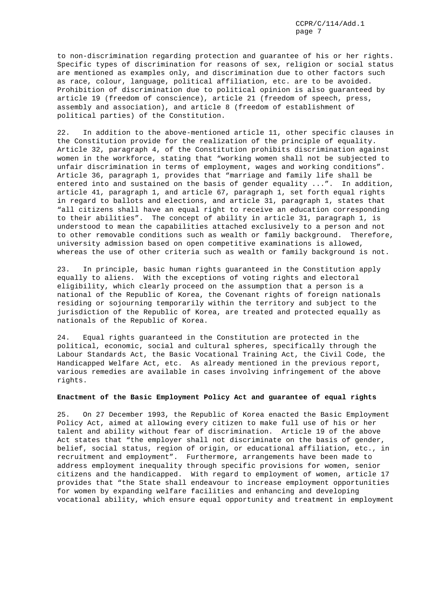to non-discrimination regarding protection and guarantee of his or her rights. Specific types of discrimination for reasons of sex, religion or social status are mentioned as examples only, and discrimination due to other factors such as race, colour, language, political affiliation, etc. are to be avoided. Prohibition of discrimination due to political opinion is also guaranteed by article 19 (freedom of conscience), article 21 (freedom of speech, press, assembly and association), and article 8 (freedom of establishment of political parties) of the Constitution.

22. In addition to the above-mentioned article 11, other specific clauses in the Constitution provide for the realization of the principle of equality. Article 32, paragraph 4, of the Constitution prohibits discrimination against women in the workforce, stating that "working women shall not be subjected to unfair discrimination in terms of employment, wages and working conditions". Article 36, paragraph 1, provides that "marriage and family life shall be entered into and sustained on the basis of gender equality ...". In addition, article 41, paragraph 1, and article 67, paragraph 1, set forth equal rights in regard to ballots and elections, and article 31, paragraph 1, states that "all citizens shall have an equal right to receive an education corresponding to their abilities". The concept of ability in article 31, paragraph 1, is understood to mean the capabilities attached exclusively to a person and not to other removable conditions such as wealth or family background. Therefore, university admission based on open competitive examinations is allowed, whereas the use of other criteria such as wealth or family background is not.

23. In principle, basic human rights guaranteed in the Constitution apply equally to aliens. With the exceptions of voting rights and electoral eligibility, which clearly proceed on the assumption that a person is a national of the Republic of Korea, the Covenant rights of foreign nationals residing or sojourning temporarily within the territory and subject to the jurisdiction of the Republic of Korea, are treated and protected equally as nationals of the Republic of Korea.

24. Equal rights guaranteed in the Constitution are protected in the political, economic, social and cultural spheres, specifically through the Labour Standards Act, the Basic Vocational Training Act, the Civil Code, the Handicapped Welfare Act, etc. As already mentioned in the previous report, various remedies are available in cases involving infringement of the above rights.

# **Enactment of the Basic Employment Policy Act and guarantee of equal rights**

25. On 27 December 1993, the Republic of Korea enacted the Basic Employment Policy Act, aimed at allowing every citizen to make full use of his or her talent and ability without fear of discrimination. Article 19 of the above Act states that "the employer shall not discriminate on the basis of gender, belief, social status, region of origin, or educational affiliation, etc., in recruitment and employment". Furthermore, arrangements have been made to address employment inequality through specific provisions for women, senior citizens and the handicapped. With regard to employment of women, article 17 provides that "the State shall endeavour to increase employment opportunities for women by expanding welfare facilities and enhancing and developing vocational ability, which ensure equal opportunity and treatment in employment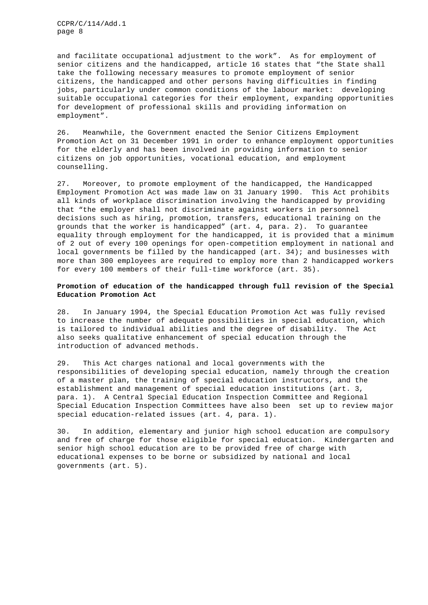and facilitate occupational adjustment to the work". As for employment of senior citizens and the handicapped, article 16 states that "the State shall take the following necessary measures to promote employment of senior citizens, the handicapped and other persons having difficulties in finding jobs, particularly under common conditions of the labour market: developing suitable occupational categories for their employment, expanding opportunities for development of professional skills and providing information on employment".

26. Meanwhile, the Government enacted the Senior Citizens Employment Promotion Act on 31 December 1991 in order to enhance employment opportunities for the elderly and has been involved in providing information to senior citizens on job opportunities, vocational education, and employment counselling.

27. Moreover, to promote employment of the handicapped, the Handicapped Employment Promotion Act was made law on 31 January 1990. This Act prohibits all kinds of workplace discrimination involving the handicapped by providing that "the employer shall not discriminate against workers in personnel decisions such as hiring, promotion, transfers, educational training on the grounds that the worker is handicapped" (art. 4, para. 2). To guarantee equality through employment for the handicapped, it is provided that a minimum of 2 out of every 100 openings for open-competition employment in national and local governments be filled by the handicapped (art. 34); and businesses with more than 300 employees are required to employ more than 2 handicapped workers for every 100 members of their full-time workforce (art. 35).

# **Promotion of education of the handicapped through full revision of the Special Education Promotion Act**

28. In January 1994, the Special Education Promotion Act was fully revised to increase the number of adequate possibilities in special education, which is tailored to individual abilities and the degree of disability. The Act also seeks qualitative enhancement of special education through the introduction of advanced methods.

29. This Act charges national and local governments with the responsibilities of developing special education, namely through the creation of a master plan, the training of special education instructors, and the establishment and management of special education institutions (art. 3, para. 1). A Central Special Education Inspection Committee and Regional Special Education Inspection Committees have also been set up to review major special education-related issues (art. 4, para. 1).

30. In addition, elementary and junior high school education are compulsory and free of charge for those eligible for special education. Kindergarten and senior high school education are to be provided free of charge with educational expenses to be borne or subsidized by national and local governments (art. 5).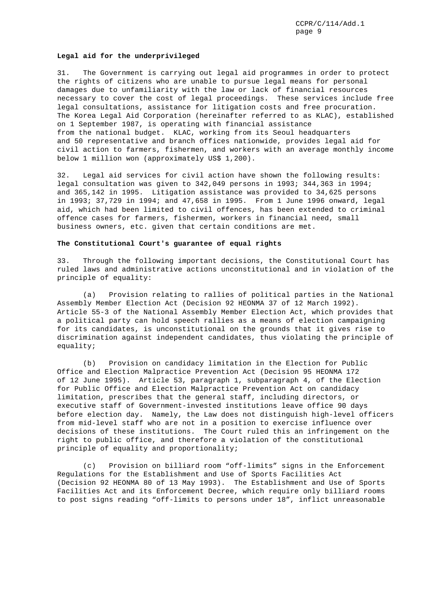#### **Legal aid for the underprivileged**

31. The Government is carrying out legal aid programmes in order to protect the rights of citizens who are unable to pursue legal means for personal damages due to unfamiliarity with the law or lack of financial resources necessary to cover the cost of legal proceedings. These services include free legal consultations, assistance for litigation costs and free procuration. The Korea Legal Aid Corporation (hereinafter referred to as KLAC), established on 1 September 1987, is operating with financial assistance from the national budget. KLAC, working from its Seoul headquarters and 50 representative and branch offices nationwide, provides legal aid for civil action to farmers, fishermen, and workers with an average monthly income below 1 million won (approximately US\$ 1,200).

32. Legal aid services for civil action have shown the following results: legal consultation was given to 342,049 persons in 1993; 344,363 in 1994; and 365,142 in 1995. Litigation assistance was provided to 34,625 persons in 1993; 37,729 in 1994; and 47,658 in 1995. From 1 June 1996 onward, legal aid, which had been limited to civil offences, has been extended to criminal offence cases for farmers, fishermen, workers in financial need, small business owners, etc. given that certain conditions are met.

### **The Constitutional Court's guarantee of equal rights**

33. Through the following important decisions, the Constitutional Court has ruled laws and administrative actions unconstitutional and in violation of the principle of equality:

(a) Provision relating to rallies of political parties in the National Assembly Member Election Act (Decision 92 HEONMA 37 of 12 March 1992). Article 55-3 of the National Assembly Member Election Act, which provides that a political party can hold speech rallies as a means of election campaigning for its candidates, is unconstitutional on the grounds that it gives rise to discrimination against independent candidates, thus violating the principle of equality;

(b) Provision on candidacy limitation in the Election for Public Office and Election Malpractice Prevention Act (Decision 95 HEONMA 172 of 12 June 1995). Article 53, paragraph 1, subparagraph 4, of the Election for Public Office and Election Malpractice Prevention Act on candidacy limitation, prescribes that the general staff, including directors, or executive staff of Government-invested institutions leave office 90 days before election day. Namely, the Law does not distinguish high-level officers from mid-level staff who are not in a position to exercise influence over decisions of these institutions. The Court ruled this an infringement on the right to public office, and therefore a violation of the constitutional principle of equality and proportionality;

(c) Provision on billiard room "off-limits" signs in the Enforcement Regulations for the Establishment and Use of Sports Facilities Act (Decision 92 HEONMA 80 of 13 May 1993). The Establishment and Use of Sports Facilities Act and its Enforcement Decree, which require only billiard rooms to post signs reading "off-limits to persons under 18", inflict unreasonable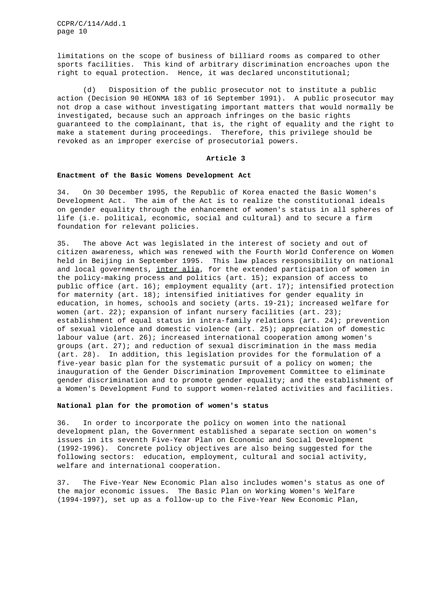limitations on the scope of business of billiard rooms as compared to other sports facilities. This kind of arbitrary discrimination encroaches upon the right to equal protection. Hence, it was declared unconstitutional;

(d) Disposition of the public prosecutor not to institute a public action (Decision 90 HEONMA 183 of 16 September 1991). A public prosecutor may not drop a case without investigating important matters that would normally be investigated, because such an approach infringes on the basic rights guaranteed to the complainant, that is, the right of equality and the right to make a statement during proceedings. Therefore, this privilege should be revoked as an improper exercise of prosecutorial powers.

#### **Article 3**

## **Enactment of the Basic Womens Development Act**

34. On 30 December 1995, the Republic of Korea enacted the Basic Women's Development Act. The aim of the Act is to realize the constitutional ideals on gender equality through the enhancement of women's status in all spheres of life (i.e. political, economic, social and cultural) and to secure a firm foundation for relevant policies.

35. The above Act was legislated in the interest of society and out of citizen awareness, which was renewed with the Fourth World Conference on Women held in Beijing in September 1995. This law places responsibility on national and local governments, inter alia, for the extended participation of women in the policy-making process and politics (art. 15); expansion of access to public office (art. 16); employment equality (art. 17); intensified protection for maternity (art. 18); intensified initiatives for gender equality in education, in homes, schools and society (arts. 19-21); increased welfare for women (art.  $22$ ); expansion of infant nursery facilities (art.  $23$ ); establishment of equal status in intra-family relations (art. 24); prevention of sexual violence and domestic violence (art. 25); appreciation of domestic labour value (art. 26); increased international cooperation among women's groups (art. 27); and reduction of sexual discrimination in the mass media (art. 28). In addition, this legislation provides for the formulation of a five-year basic plan for the systematic pursuit of a policy on women; the inauguration of the Gender Discrimination Improvement Committee to eliminate gender discrimination and to promote gender equality; and the establishment of a Women's Development Fund to support women-related activities and facilities.

# **National plan for the promotion of women's status**

36. In order to incorporate the policy on women into the national development plan, the Government established a separate section on women's issues in its seventh Five-Year Plan on Economic and Social Development (1992-1996). Concrete policy objectives are also being suggested for the following sectors: education, employment, cultural and social activity, welfare and international cooperation.

37. The Five-Year New Economic Plan also includes women's status as one of the major economic issues. The Basic Plan on Working Women's Welfare (1994-1997), set up as a follow-up to the Five-Year New Economic Plan,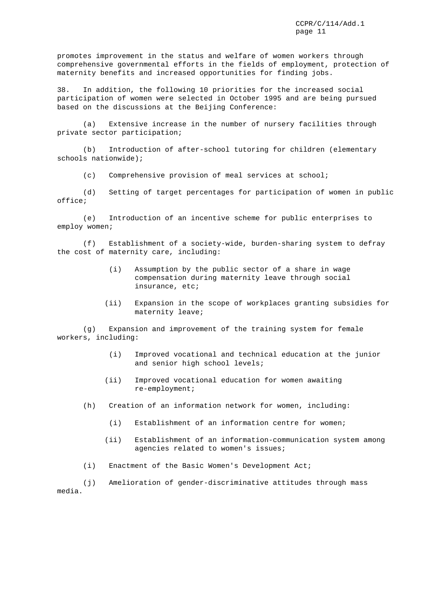promotes improvement in the status and welfare of women workers through comprehensive governmental efforts in the fields of employment, protection of maternity benefits and increased opportunities for finding jobs.

38. In addition, the following 10 priorities for the increased social participation of women were selected in October 1995 and are being pursued based on the discussions at the Beijing Conference:

(a) Extensive increase in the number of nursery facilities through private sector participation;

(b) Introduction of after-school tutoring for children (elementary schools nationwide);

(c) Comprehensive provision of meal services at school;

(d) Setting of target percentages for participation of women in public office;

(e) Introduction of an incentive scheme for public enterprises to employ women;

(f) Establishment of a society-wide, burden-sharing system to defray the cost of maternity care, including:

- (i) Assumption by the public sector of a share in wage compensation during maternity leave through social insurance, etc;
- (ii) Expansion in the scope of workplaces granting subsidies for maternity leave;

(g) Expansion and improvement of the training system for female workers, including:

- (i) Improved vocational and technical education at the junior and senior high school levels;
- (ii) Improved vocational education for women awaiting re-employment;
- (h) Creation of an information network for women, including:
	- (i) Establishment of an information centre for women;
	- (ii) Establishment of an information-communication system among agencies related to women's issues;
- (i) Enactment of the Basic Women's Development Act;

(j) Amelioration of gender-discriminative attitudes through mass media.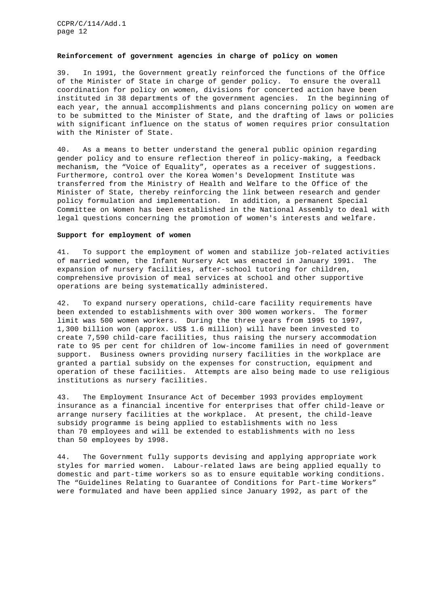### **Reinforcement of government agencies in charge of policy on women**

39. In 1991, the Government greatly reinforced the functions of the Office of the Minister of State in charge of gender policy. To ensure the overall coordination for policy on women, divisions for concerted action have been instituted in 38 departments of the government agencies. In the beginning of each year, the annual accomplishments and plans concerning policy on women are to be submitted to the Minister of State, and the drafting of laws or policies with significant influence on the status of women requires prior consultation with the Minister of State.

40. As a means to better understand the general public opinion regarding gender policy and to ensure reflection thereof in policy-making, a feedback mechanism, the "Voice of Equality", operates as a receiver of suggestions. Furthermore, control over the Korea Women's Development Institute was transferred from the Ministry of Health and Welfare to the Office of the Minister of State, thereby reinforcing the link between research and gender policy formulation and implementation. In addition, a permanent Special Committee on Women has been established in the National Assembly to deal with legal questions concerning the promotion of women's interests and welfare.

#### **Support for employment of women**

41. To support the employment of women and stabilize job-related activities of married women, the Infant Nursery Act was enacted in January 1991. The expansion of nursery facilities, after-school tutoring for children, comprehensive provision of meal services at school and other supportive operations are being systematically administered.

42. To expand nursery operations, child-care facility requirements have been extended to establishments with over 300 women workers. The former limit was 500 women workers. During the three years from 1995 to 1997, 1,300 billion won (approx. US\$ 1.6 million) will have been invested to create 7,590 child-care facilities, thus raising the nursery accommodation rate to 95 per cent for children of low-income families in need of government support. Business owners providing nursery facilities in the workplace are granted a partial subsidy on the expenses for construction, equipment and operation of these facilities. Attempts are also being made to use religious institutions as nursery facilities.

43. The Employment Insurance Act of December 1993 provides employment insurance as a financial incentive for enterprises that offer child-leave or arrange nursery facilities at the workplace. At present, the child-leave subsidy programme is being applied to establishments with no less than 70 employees and will be extended to establishments with no less than 50 employees by 1998.

44. The Government fully supports devising and applying appropriate work styles for married women. Labour-related laws are being applied equally to domestic and part-time workers so as to ensure equitable working conditions. The "Guidelines Relating to Guarantee of Conditions for Part-time Workers" were formulated and have been applied since January 1992, as part of the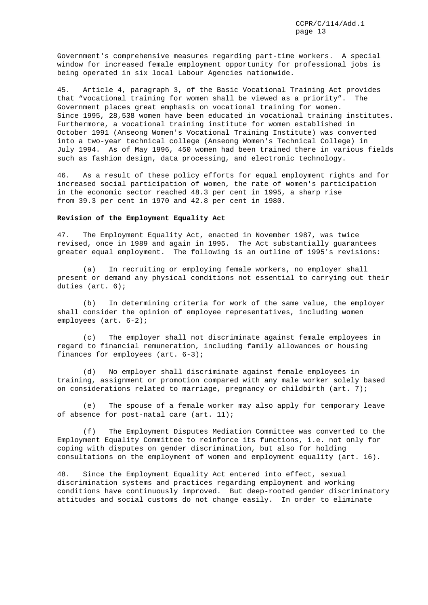Government's comprehensive measures regarding part-time workers. A special window for increased female employment opportunity for professional jobs is being operated in six local Labour Agencies nationwide.

45. Article 4, paragraph 3, of the Basic Vocational Training Act provides that "vocational training for women shall be viewed as a priority". The Government places great emphasis on vocational training for women. Since 1995, 28,538 women have been educated in vocational training institutes. Furthermore, a vocational training institute for women established in October 1991 (Anseong Women's Vocational Training Institute) was converted into a two-year technical college (Anseong Women's Technical College) in July 1994. As of May 1996, 450 women had been trained there in various fields such as fashion design, data processing, and electronic technology.

46. As a result of these policy efforts for equal employment rights and for increased social participation of women, the rate of women's participation in the economic sector reached 48.3 per cent in 1995, a sharp rise from 39.3 per cent in 1970 and 42.8 per cent in 1980.

# **Revision of the Employment Equality Act**

47. The Employment Equality Act, enacted in November 1987, was twice revised, once in 1989 and again in 1995. The Act substantially guarantees greater equal employment. The following is an outline of 1995's revisions:

(a) In recruiting or employing female workers, no employer shall present or demand any physical conditions not essential to carrying out their duties (art. 6);

(b) In determining criteria for work of the same value, the employer shall consider the opinion of employee representatives, including women employees (art. 6-2);

(c) The employer shall not discriminate against female employees in regard to financial remuneration, including family allowances or housing finances for employees (art. 6-3);

(d) No employer shall discriminate against female employees in training, assignment or promotion compared with any male worker solely based on considerations related to marriage, pregnancy or childbirth (art. 7);

(e) The spouse of a female worker may also apply for temporary leave of absence for post-natal care (art. 11);

(f) The Employment Disputes Mediation Committee was converted to the Employment Equality Committee to reinforce its functions, i.e. not only for coping with disputes on gender discrimination, but also for holding consultations on the employment of women and employment equality (art. 16).

48. Since the Employment Equality Act entered into effect, sexual discrimination systems and practices regarding employment and working conditions have continuously improved. But deep-rooted gender discriminatory attitudes and social customs do not change easily. In order to eliminate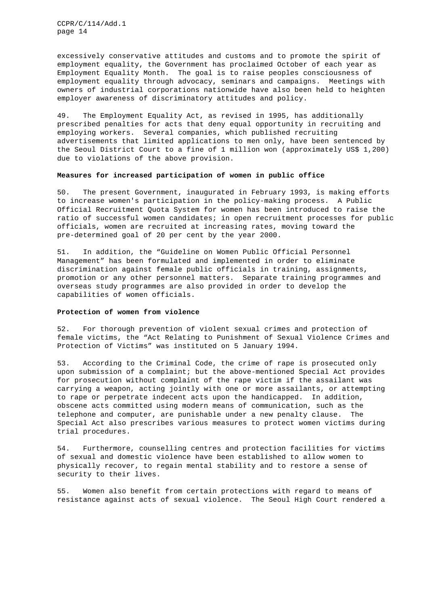excessively conservative attitudes and customs and to promote the spirit of employment equality, the Government has proclaimed October of each year as Employment Equality Month. The goal is to raise peoples consciousness of employment equality through advocacy, seminars and campaigns. Meetings with owners of industrial corporations nationwide have also been held to heighten employer awareness of discriminatory attitudes and policy.

49. The Employment Equality Act, as revised in 1995, has additionally prescribed penalties for acts that deny equal opportunity in recruiting and employing workers. Several companies, which published recruiting advertisements that limited applications to men only, have been sentenced by the Seoul District Court to a fine of 1 million won (approximately US\$ 1,200) due to violations of the above provision.

# **Measures for increased participation of women in public office**

50. The present Government, inaugurated in February 1993, is making efforts to increase women's participation in the policy-making process. A Public Official Recruitment Quota System for women has been introduced to raise the ratio of successful women candidates; in open recruitment processes for public officials, women are recruited at increasing rates, moving toward the pre-determined goal of 20 per cent by the year 2000.

51. In addition, the "Guideline on Women Public Official Personnel Management" has been formulated and implemented in order to eliminate discrimination against female public officials in training, assignments, promotion or any other personnel matters. Separate training programmes and overseas study programmes are also provided in order to develop the capabilities of women officials.

#### **Protection of women from violence**

52. For thorough prevention of violent sexual crimes and protection of female victims, the "Act Relating to Punishment of Sexual Violence Crimes and Protection of Victims" was instituted on 5 January 1994.

53. According to the Criminal Code, the crime of rape is prosecuted only upon submission of a complaint; but the above-mentioned Special Act provides for prosecution without complaint of the rape victim if the assailant was carrying a weapon, acting jointly with one or more assailants, or attempting to rape or perpetrate indecent acts upon the handicapped. In addition, obscene acts committed using modern means of communication, such as the telephone and computer, are punishable under a new penalty clause. The Special Act also prescribes various measures to protect women victims during trial procedures.

54. Furthermore, counselling centres and protection facilities for victims of sexual and domestic violence have been established to allow women to physically recover, to regain mental stability and to restore a sense of security to their lives.

55. Women also benefit from certain protections with regard to means of resistance against acts of sexual violence. The Seoul High Court rendered a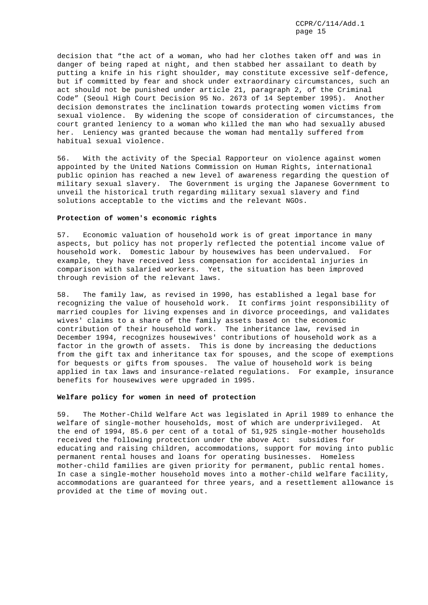decision that "the act of a woman, who had her clothes taken off and was in danger of being raped at night, and then stabbed her assailant to death by putting a knife in his right shoulder, may constitute excessive self-defence, but if committed by fear and shock under extraordinary circumstances, such an act should not be punished under article 21, paragraph 2, of the Criminal Code" (Seoul High Court Decision 95 No. 2673 of 14 September 1995). Another decision demonstrates the inclination towards protecting women victims from sexual violence. By widening the scope of consideration of circumstances, the court granted leniency to a woman who killed the man who had sexually abused her. Leniency was granted because the woman had mentally suffered from habitual sexual violence.

56. With the activity of the Special Rapporteur on violence against women appointed by the United Nations Commission on Human Rights, international public opinion has reached a new level of awareness regarding the question of military sexual slavery. The Government is urging the Japanese Government to unveil the historical truth regarding military sexual slavery and find solutions acceptable to the victims and the relevant NGOs.

## **Protection of women's economic rights**

57. Economic valuation of household work is of great importance in many aspects, but policy has not properly reflected the potential income value of household work. Domestic labour by housewives has been undervalued. For example, they have received less compensation for accidental injuries in comparison with salaried workers. Yet, the situation has been improved through revision of the relevant laws.

58. The family law, as revised in 1990, has established a legal base for recognizing the value of household work. It confirms joint responsibility of married couples for living expenses and in divorce proceedings, and validates wives' claims to a share of the family assets based on the economic contribution of their household work. The inheritance law, revised in December 1994, recognizes housewives' contributions of household work as a factor in the growth of assets. This is done by increasing the deductions from the gift tax and inheritance tax for spouses, and the scope of exemptions for bequests or gifts from spouses. The value of household work is being applied in tax laws and insurance-related regulations. For example, insurance benefits for housewives were upgraded in 1995.

# **Welfare policy for women in need of protection**

59. The Mother-Child Welfare Act was legislated in April 1989 to enhance the welfare of single-mother households, most of which are underprivileged. At the end of 1994, 85.6 per cent of a total of 51,925 single-mother households received the following protection under the above Act: subsidies for educating and raising children, accommodations, support for moving into public permanent rental houses and loans for operating businesses. Homeless mother-child families are given priority for permanent, public rental homes. In case a single-mother household moves into a mother-child welfare facility, accommodations are guaranteed for three years, and a resettlement allowance is provided at the time of moving out.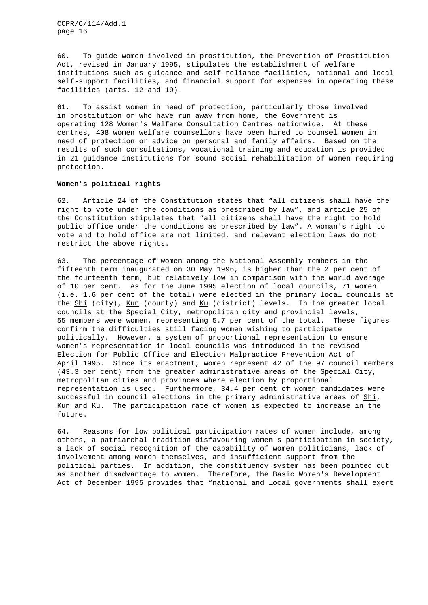60. To guide women involved in prostitution, the Prevention of Prostitution Act, revised in January 1995, stipulates the establishment of welfare institutions such as guidance and self-reliance facilities, national and local self-support facilities, and financial support for expenses in operating these facilities (arts. 12 and 19).

61. To assist women in need of protection, particularly those involved in prostitution or who have run away from home, the Government is operating 128 Women's Welfare Consultation Centres nationwide. At these centres, 408 women welfare counsellors have been hired to counsel women in need of protection or advice on personal and family affairs. Based on the results of such consultations, vocational training and education is provided in 21 guidance institutions for sound social rehabilitation of women requiring protection.

# **Women's political rights**

62. Article 24 of the Constitution states that "all citizens shall have the right to vote under the conditions as prescribed by law", and article 25 of the Constitution stipulates that "all citizens shall have the right to hold public office under the conditions as prescribed by law". A woman's right to vote and to hold office are not limited, and relevant election laws do not restrict the above rights.

63. The percentage of women among the National Assembly members in the fifteenth term inaugurated on 30 May 1996, is higher than the 2 per cent of the fourteenth term, but relatively low in comparison with the world average of 10 per cent. As for the June 1995 election of local councils, 71 women (i.e. 1.6 per cent of the total) were elected in the primary local councils at the Shi (city), Kun (county) and Ku (district) levels. In the greater local councils at the Special City, metropolitan city and provincial levels, 55 members were women, representing 5.7 per cent of the total. These figures confirm the difficulties still facing women wishing to participate politically. However, a system of proportional representation to ensure women's representation in local councils was introduced in the revised Election for Public Office and Election Malpractice Prevention Act of April 1995. Since its enactment, women represent 42 of the 97 council members (43.3 per cent) from the greater administrative areas of the Special City, metropolitan cities and provinces where election by proportional representation is used. Furthermore, 34.4 per cent of women candidates were successful in council elections in the primary administrative areas of Shi, Kun and Ku. The participation rate of women is expected to increase in the future.

64. Reasons for low political participation rates of women include, among others, a patriarchal tradition disfavouring women's participation in society, a lack of social recognition of the capability of women politicians, lack of involvement among women themselves, and insufficient support from the political parties. In addition, the constituency system has been pointed out as another disadvantage to women. Therefore, the Basic Women's Development Act of December 1995 provides that "national and local governments shall exert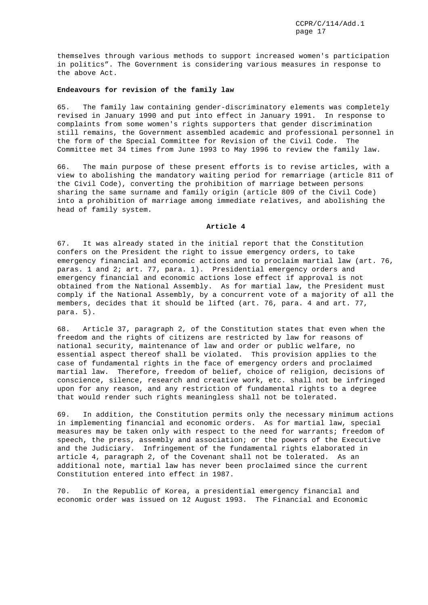themselves through various methods to support increased women's participation in politics". The Government is considering various measures in response to the above Act.

# **Endeavours for revision of the family law**

65. The family law containing gender-discriminatory elements was completely revised in January 1990 and put into effect in January 1991. In response to complaints from some women's rights supporters that gender discrimination still remains, the Government assembled academic and professional personnel in the form of the Special Committee for Revision of the Civil Code. The Committee met 34 times from June 1993 to May 1996 to review the family law.

66. The main purpose of these present efforts is to revise articles, with a view to abolishing the mandatory waiting period for remarriage (article 811 of the Civil Code), converting the prohibition of marriage between persons sharing the same surname and family origin (article 809 of the Civil Code) into a prohibition of marriage among immediate relatives, and abolishing the head of family system.

# **Article 4**

67. It was already stated in the initial report that the Constitution confers on the President the right to issue emergency orders, to take emergency financial and economic actions and to proclaim martial law (art. 76, paras. 1 and 2; art. 77, para. 1). Presidential emergency orders and emergency financial and economic actions lose effect if approval is not obtained from the National Assembly. As for martial law, the President must comply if the National Assembly, by a concurrent vote of a majority of all the members, decides that it should be lifted (art. 76, para. 4 and art. 77, para. 5).

68. Article 37, paragraph 2, of the Constitution states that even when the freedom and the rights of citizens are restricted by law for reasons of national security, maintenance of law and order or public welfare, no essential aspect thereof shall be violated. This provision applies to the case of fundamental rights in the face of emergency orders and proclaimed martial law. Therefore, freedom of belief, choice of religion, decisions of conscience, silence, research and creative work, etc. shall not be infringed upon for any reason, and any restriction of fundamental rights to a degree that would render such rights meaningless shall not be tolerated.

69. In addition, the Constitution permits only the necessary minimum actions in implementing financial and economic orders. As for martial law, special measures may be taken only with respect to the need for warrants; freedom of speech, the press, assembly and association; or the powers of the Executive and the Judiciary. Infringement of the fundamental rights elaborated in article 4, paragraph 2, of the Covenant shall not be tolerated. As an additional note, martial law has never been proclaimed since the current Constitution entered into effect in 1987.

70. In the Republic of Korea, a presidential emergency financial and economic order was issued on 12 August 1993. The Financial and Economic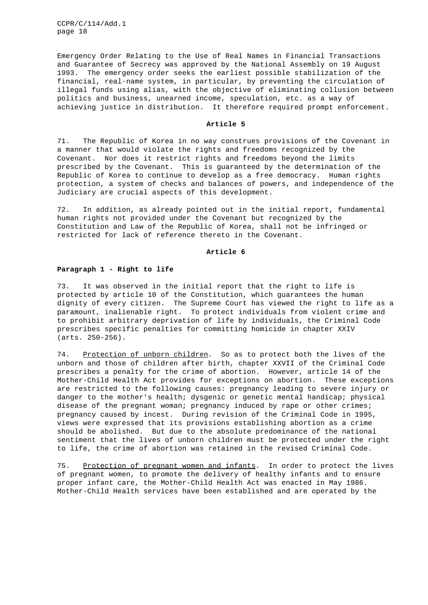Emergency Order Relating to the Use of Real Names in Financial Transactions and Guarantee of Secrecy was approved by the National Assembly on 19 August 1993. The emergency order seeks the earliest possible stabilization of the financial, real-name system, in particular, by preventing the circulation of illegal funds using alias, with the objective of eliminating collusion between politics and business, unearned income, speculation, etc. as a way of achieving justice in distribution. It therefore required prompt enforcement.

#### **Article 5**

71. The Republic of Korea in no way construes provisions of the Covenant in a manner that would violate the rights and freedoms recognized by the Covenant. Nor does it restrict rights and freedoms beyond the limits prescribed by the Covenant. This is guaranteed by the determination of the Republic of Korea to continue to develop as a free democracy. Human rights protection, a system of checks and balances of powers, and independence of the Judiciary are crucial aspects of this development.

72. In addition, as already pointed out in the initial report, fundamental human rights not provided under the Covenant but recognized by the Constitution and Law of the Republic of Korea, shall not be infringed or restricted for lack of reference thereto in the Covenant.

### **Article 6**

#### **Paragraph 1 - Right to life**

73. It was observed in the initial report that the right to life is protected by article 10 of the Constitution, which guarantees the human dignity of every citizen. The Supreme Court has viewed the right to life as a paramount, inalienable right. To protect individuals from violent crime and to prohibit arbitrary deprivation of life by individuals, the Criminal Code prescribes specific penalties for committing homicide in chapter XXIV (arts. 250-256).

74. Protection of unborn children. So as to protect both the lives of the unborn and those of children after birth, chapter XXVII of the Criminal Code prescribes a penalty for the crime of abortion. However, article 14 of the Mother-Child Health Act provides for exceptions on abortion. These exceptions are restricted to the following causes: pregnancy leading to severe injury or danger to the mother's health; dysgenic or genetic mental handicap; physical disease of the pregnant woman; pregnancy induced by rape or other crimes; pregnancy caused by incest. During revision of the Criminal Code in 1995, views were expressed that its provisions establishing abortion as a crime should be abolished. But due to the absolute predominance of the national sentiment that the lives of unborn children must be protected under the right to life, the crime of abortion was retained in the revised Criminal Code.

75. Protection of pregnant women and infants. In order to protect the lives of pregnant women, to promote the delivery of healthy infants and to ensure proper infant care, the Mother-Child Health Act was enacted in May 1986. Mother-Child Health services have been established and are operated by the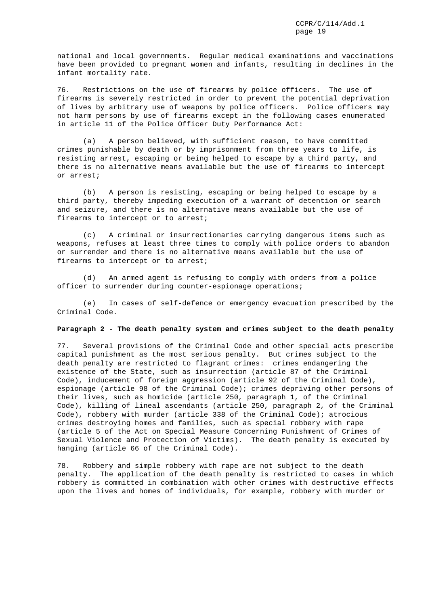national and local governments. Regular medical examinations and vaccinations have been provided to pregnant women and infants, resulting in declines in the infant mortality rate.

76. Restrictions on the use of firearms by police officers. The use of firearms is severely restricted in order to prevent the potential deprivation of lives by arbitrary use of weapons by police officers. Police officers may not harm persons by use of firearms except in the following cases enumerated in article 11 of the Police Officer Duty Performance Act:

(a) A person believed, with sufficient reason, to have committed crimes punishable by death or by imprisonment from three years to life, is resisting arrest, escaping or being helped to escape by a third party, and there is no alternative means available but the use of firearms to intercept or arrest;

(b) A person is resisting, escaping or being helped to escape by a third party, thereby impeding execution of a warrant of detention or search and seizure, and there is no alternative means available but the use of firearms to intercept or to arrest;

(c) A criminal or insurrectionaries carrying dangerous items such as weapons, refuses at least three times to comply with police orders to abandon or surrender and there is no alternative means available but the use of firearms to intercept or to arrest;

(d) An armed agent is refusing to comply with orders from a police officer to surrender during counter-espionage operations;

(e) In cases of self-defence or emergency evacuation prescribed by the Criminal Code.

# **Paragraph 2 - The death penalty system and crimes subject to the death penalty**

77. Several provisions of the Criminal Code and other special acts prescribe capital punishment as the most serious penalty. But crimes subject to the death penalty are restricted to flagrant crimes: crimes endangering the existence of the State, such as insurrection (article 87 of the Criminal Code), inducement of foreign aggression (article 92 of the Criminal Code), espionage (article 98 of the Criminal Code); crimes depriving other persons of their lives, such as homicide (article 250, paragraph 1, of the Criminal Code), killing of lineal ascendants (article 250, paragraph 2, of the Criminal Code), robbery with murder (article 338 of the Criminal Code); atrocious crimes destroying homes and families, such as special robbery with rape (article 5 of the Act on Special Measure Concerning Punishment of Crimes of Sexual Violence and Protection of Victims). The death penalty is executed by hanging (article 66 of the Criminal Code).

78. Robbery and simple robbery with rape are not subject to the death penalty. The application of the death penalty is restricted to cases in which robbery is committed in combination with other crimes with destructive effects upon the lives and homes of individuals, for example, robbery with murder or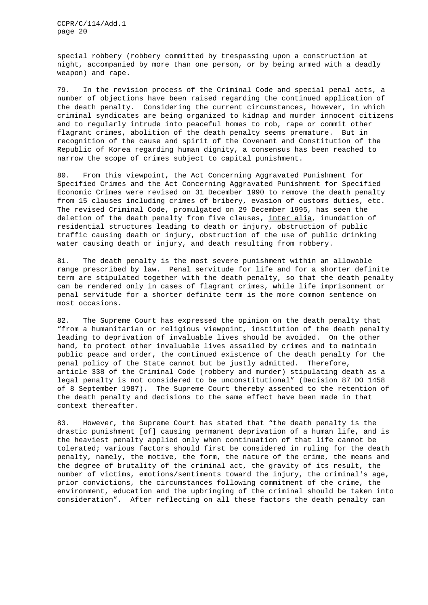special robbery (robbery committed by trespassing upon a construction at night, accompanied by more than one person, or by being armed with a deadly weapon) and rape.

79. In the revision process of the Criminal Code and special penal acts, a number of objections have been raised regarding the continued application of the death penalty. Considering the current circumstances, however, in which criminal syndicates are being organized to kidnap and murder innocent citizens and to regularly intrude into peaceful homes to rob, rape or commit other flagrant crimes, abolition of the death penalty seems premature. But in recognition of the cause and spirit of the Covenant and Constitution of the Republic of Korea regarding human dignity, a consensus has been reached to narrow the scope of crimes subject to capital punishment.

80. From this viewpoint, the Act Concerning Aggravated Punishment for Specified Crimes and the Act Concerning Aggravated Punishment for Specified Economic Crimes were revised on 31 December 1990 to remove the death penalty from 15 clauses including crimes of bribery, evasion of customs duties, etc. The revised Criminal Code, promulgated on 29 December 1995, has seen the deletion of the death penalty from five clauses, inter alia, inundation of residential structures leading to death or injury, obstruction of public traffic causing death or injury, obstruction of the use of public drinking water causing death or injury, and death resulting from robbery.

81. The death penalty is the most severe punishment within an allowable range prescribed by law. Penal servitude for life and for a shorter definite term are stipulated together with the death penalty, so that the death penalty can be rendered only in cases of flagrant crimes, while life imprisonment or penal servitude for a shorter definite term is the more common sentence on most occasions.

82. The Supreme Court has expressed the opinion on the death penalty that "from a humanitarian or religious viewpoint, institution of the death penalty leading to deprivation of invaluable lives should be avoided. On the other hand, to protect other invaluable lives assailed by crimes and to maintain public peace and order, the continued existence of the death penalty for the penal policy of the State cannot but be justly admitted. Therefore, article 338 of the Criminal Code (robbery and murder) stipulating death as a legal penalty is not considered to be unconstitutional" (Decision 87 DO 1458 of 8 September 1987). The Supreme Court thereby assented to the retention of the death penalty and decisions to the same effect have been made in that context thereafter.

83. However, the Supreme Court has stated that "the death penalty is the drastic punishment [of] causing permanent deprivation of a human life, and is the heaviest penalty applied only when continuation of that life cannot be tolerated; various factors should first be considered in ruling for the death penalty, namely, the motive, the form, the nature of the crime, the means and the degree of brutality of the criminal act, the gravity of its result, the number of victims, emotions/sentiments toward the injury, the criminal's age, prior convictions, the circumstances following commitment of the crime, the environment, education and the upbringing of the criminal should be taken into consideration". After reflecting on all these factors the death penalty can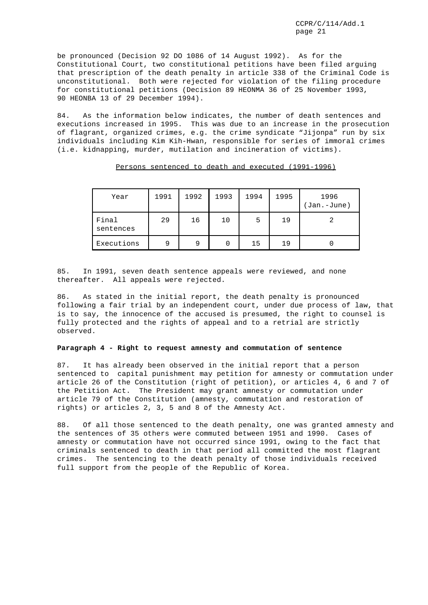be pronounced (Decision 92 DO 1086 of 14 August 1992). As for the Constitutional Court, two constitutional petitions have been filed arguing that prescription of the death penalty in article 338 of the Criminal Code is unconstitutional. Both were rejected for violation of the filing procedure for constitutional petitions (Decision 89 HEONMA 36 of 25 November 1993, 90 HEONBA 13 of 29 December 1994).

84. As the information below indicates, the number of death sentences and executions increased in 1995. This was due to an increase in the prosecution of flagrant, organized crimes, e.g. the crime syndicate "Jijonpa" run by six individuals including Kim Kih-Hwan, responsible for series of immoral crimes (i.e. kidnapping, murder, mutilation and incineration of victims).

| Year               | 1991 | 1992 | 1993 | 1994 | 1995 | 1996<br>(Jan.-June) |
|--------------------|------|------|------|------|------|---------------------|
| Final<br>sentences | 29   | 16   | 10   | 5    | 19   |                     |
| Executions         | a    | 9    | O    | 15   | 19   |                     |

Persons sentenced to death and executed (1991-1996)

85. In 1991, seven death sentence appeals were reviewed, and none thereafter. All appeals were rejected.

86. As stated in the initial report, the death penalty is pronounced following a fair trial by an independent court, under due process of law, that is to say, the innocence of the accused is presumed, the right to counsel is fully protected and the rights of appeal and to a retrial are strictly observed.

## **Paragraph 4 - Right to request amnesty and commutation of sentence**

87. It has already been observed in the initial report that a person sentenced to capital punishment may petition for amnesty or commutation under article 26 of the Constitution (right of petition), or articles 4, 6 and 7 of the Petition Act. The President may grant amnesty or commutation under article 79 of the Constitution (amnesty, commutation and restoration of rights) or articles 2, 3, 5 and 8 of the Amnesty Act.

88. Of all those sentenced to the death penalty, one was granted amnesty and the sentences of 35 others were commuted between 1951 and 1990. Cases of amnesty or commutation have not occurred since 1991, owing to the fact that criminals sentenced to death in that period all committed the most flagrant crimes. The sentencing to the death penalty of those individuals received full support from the people of the Republic of Korea.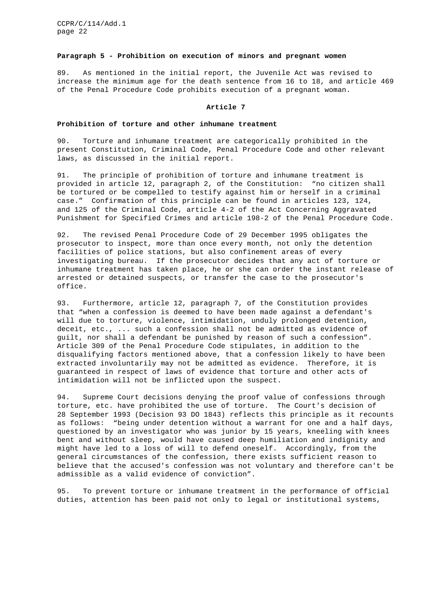### **Paragraph 5 - Prohibition on execution of minors and pregnant women**

89. As mentioned in the initial report, the Juvenile Act was revised to increase the minimum age for the death sentence from 16 to 18, and article 469 of the Penal Procedure Code prohibits execution of a pregnant woman.

#### **Article 7**

# **Prohibition of torture and other inhumane treatment**

90. Torture and inhumane treatment are categorically prohibited in the present Constitution, Criminal Code, Penal Procedure Code and other relevant laws, as discussed in the initial report.

91. The principle of prohibition of torture and inhumane treatment is provided in article 12, paragraph 2, of the Constitution: "no citizen shall be tortured or be compelled to testify against him or herself in a criminal case." Confirmation of this principle can be found in articles 123, 124, and 125 of the Criminal Code, article 4-2 of the Act Concerning Aggravated Punishment for Specified Crimes and article 198-2 of the Penal Procedure Code.

92. The revised Penal Procedure Code of 29 December 1995 obligates the prosecutor to inspect, more than once every month, not only the detention facilities of police stations, but also confinement areas of every investigating bureau. If the prosecutor decides that any act of torture or inhumane treatment has taken place, he or she can order the instant release of arrested or detained suspects, or transfer the case to the prosecutor's office.

93. Furthermore, article 12, paragraph 7, of the Constitution provides that "when a confession is deemed to have been made against a defendant's will due to torture, violence, intimidation, unduly prolonged detention, deceit, etc., ... such a confession shall not be admitted as evidence of guilt, nor shall a defendant be punished by reason of such a confession". Article 309 of the Penal Procedure Code stipulates, in addition to the disqualifying factors mentioned above, that a confession likely to have been extracted involuntarily may not be admitted as evidence. Therefore, it is guaranteed in respect of laws of evidence that torture and other acts of intimidation will not be inflicted upon the suspect.

94. Supreme Court decisions denying the proof value of confessions through torture, etc. have prohibited the use of torture. The Court's decision of 28 September 1993 (Decision 93 DO 1843) reflects this principle as it recounts as follows: "being under detention without a warrant for one and a half days, questioned by an investigator who was junior by 15 years, kneeling with knees bent and without sleep, would have caused deep humiliation and indignity and might have led to a loss of will to defend oneself. Accordingly, from the general circumstances of the confession, there exists sufficient reason to believe that the accused's confession was not voluntary and therefore can't be admissible as a valid evidence of conviction".

95. To prevent torture or inhumane treatment in the performance of official duties, attention has been paid not only to legal or institutional systems,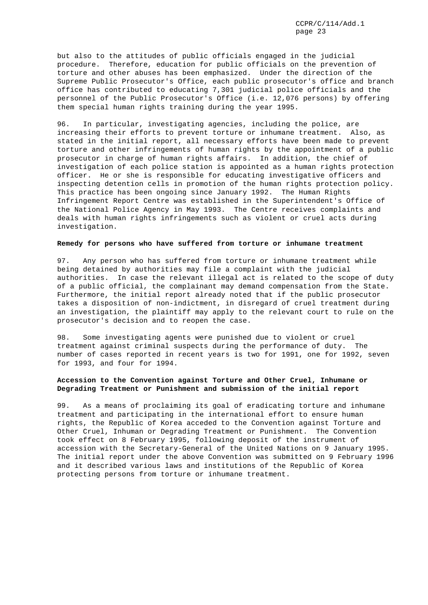but also to the attitudes of public officials engaged in the judicial procedure. Therefore, education for public officials on the prevention of torture and other abuses has been emphasized. Under the direction of the Supreme Public Prosecutor's Office, each public prosecutor's office and branch office has contributed to educating 7,301 judicial police officials and the personnel of the Public Prosecutor's Office (i.e. 12,076 persons) by offering them special human rights training during the year 1995.

96. In particular, investigating agencies, including the police, are increasing their efforts to prevent torture or inhumane treatment. Also, as stated in the initial report, all necessary efforts have been made to prevent torture and other infringements of human rights by the appointment of a public prosecutor in charge of human rights affairs. In addition, the chief of investigation of each police station is appointed as a human rights protection officer. He or she is responsible for educating investigative officers and inspecting detention cells in promotion of the human rights protection policy. This practice has been ongoing since January 1992. The Human Rights Infringement Report Centre was established in the Superintendent's Office of the National Police Agency in May 1993. The Centre receives complaints and deals with human rights infringements such as violent or cruel acts during investigation.

#### **Remedy for persons who have suffered from torture or inhumane treatment**

97. Any person who has suffered from torture or inhumane treatment while being detained by authorities may file a complaint with the judicial authorities. In case the relevant illegal act is related to the scope of duty of a public official, the complainant may demand compensation from the State. Furthermore, the initial report already noted that if the public prosecutor takes a disposition of non-indictment, in disregard of cruel treatment during an investigation, the plaintiff may apply to the relevant court to rule on the prosecutor's decision and to reopen the case.

98. Some investigating agents were punished due to violent or cruel treatment against criminal suspects during the performance of duty. The number of cases reported in recent years is two for 1991, one for 1992, seven for 1993, and four for 1994.

# **Accession to the Convention against Torture and Other Cruel, Inhumane or Degrading Treatment or Punishment and submission of the initial report**

99. As a means of proclaiming its goal of eradicating torture and inhumane treatment and participating in the international effort to ensure human rights, the Republic of Korea acceded to the Convention against Torture and Other Cruel, Inhuman or Degrading Treatment or Punishment. The Convention took effect on 8 February 1995, following deposit of the instrument of accession with the Secretary-General of the United Nations on 9 January 1995. The initial report under the above Convention was submitted on 9 February 1996 and it described various laws and institutions of the Republic of Korea protecting persons from torture or inhumane treatment.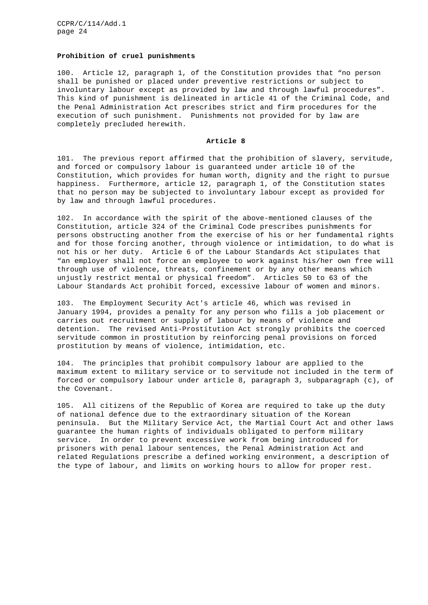### **Prohibition of cruel punishments**

100. Article 12, paragraph 1, of the Constitution provides that "no person shall be punished or placed under preventive restrictions or subject to involuntary labour except as provided by law and through lawful procedures". This kind of punishment is delineated in article 41 of the Criminal Code, and the Penal Administration Act prescribes strict and firm procedures for the execution of such punishment. Punishments not provided for by law are completely precluded herewith.

# **Article 8**

101. The previous report affirmed that the prohibition of slavery, servitude, and forced or compulsory labour is guaranteed under article 10 of the Constitution, which provides for human worth, dignity and the right to pursue happiness. Furthermore, article 12, paragraph 1, of the Constitution states that no person may be subjected to involuntary labour except as provided for by law and through lawful procedures.

102. In accordance with the spirit of the above-mentioned clauses of the Constitution, article 324 of the Criminal Code prescribes punishments for persons obstructing another from the exercise of his or her fundamental rights and for those forcing another, through violence or intimidation, to do what is not his or her duty. Article 6 of the Labour Standards Act stipulates that "an employer shall not force an employee to work against his/her own free will through use of violence, threats, confinement or by any other means which unjustly restrict mental or physical freedom". Articles 50 to 63 of the Labour Standards Act prohibit forced, excessive labour of women and minors.

103. The Employment Security Act's article 46, which was revised in January 1994, provides a penalty for any person who fills a job placement or carries out recruitment or supply of labour by means of violence and detention. The revised Anti-Prostitution Act strongly prohibits the coerced servitude common in prostitution by reinforcing penal provisions on forced prostitution by means of violence, intimidation, etc.

104. The principles that prohibit compulsory labour are applied to the maximum extent to military service or to servitude not included in the term of forced or compulsory labour under article 8, paragraph 3, subparagraph (c), of the Covenant.

105. All citizens of the Republic of Korea are required to take up the duty of national defence due to the extraordinary situation of the Korean peninsula. But the Military Service Act, the Martial Court Act and other laws guarantee the human rights of individuals obligated to perform military service. In order to prevent excessive work from being introduced for prisoners with penal labour sentences, the Penal Administration Act and related Regulations prescribe a defined working environment, a description of the type of labour, and limits on working hours to allow for proper rest.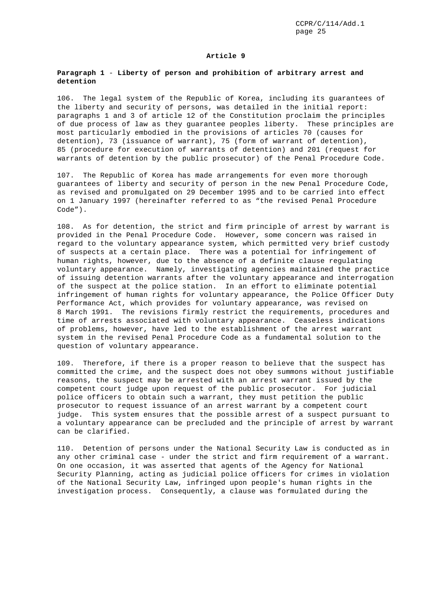### **Article 9**

# **Paragraph 1** - **Liberty of person and prohibition of arbitrary arrest and detention**

106. The legal system of the Republic of Korea, including its guarantees of the liberty and security of persons, was detailed in the initial report: paragraphs 1 and 3 of article 12 of the Constitution proclaim the principles of due process of law as they guarantee peoples liberty. These principles are most particularly embodied in the provisions of articles 70 (causes for detention), 73 (issuance of warrant), 75 (form of warrant of detention), 85 (procedure for execution of warrants of detention) and 201 (request for warrants of detention by the public prosecutor) of the Penal Procedure Code.

107. The Republic of Korea has made arrangements for even more thorough guarantees of liberty and security of person in the new Penal Procedure Code, as revised and promulgated on 29 December 1995 and to be carried into effect on 1 January 1997 (hereinafter referred to as "the revised Penal Procedure Code").

108. As for detention, the strict and firm principle of arrest by warrant is provided in the Penal Procedure Code. However, some concern was raised in regard to the voluntary appearance system, which permitted very brief custody of suspects at a certain place. There was a potential for infringement of human rights, however, due to the absence of a definite clause regulating voluntary appearance. Namely, investigating agencies maintained the practice of issuing detention warrants after the voluntary appearance and interrogation of the suspect at the police station. In an effort to eliminate potential infringement of human rights for voluntary appearance, the Police Officer Duty Performance Act, which provides for voluntary appearance, was revised on 8 March 1991. The revisions firmly restrict the requirements, procedures and time of arrests associated with voluntary appearance. Ceaseless indications of problems, however, have led to the establishment of the arrest warrant system in the revised Penal Procedure Code as a fundamental solution to the question of voluntary appearance.

109. Therefore, if there is a proper reason to believe that the suspect has committed the crime, and the suspect does not obey summons without justifiable reasons, the suspect may be arrested with an arrest warrant issued by the competent court judge upon request of the public prosecutor. For judicial police officers to obtain such a warrant, they must petition the public prosecutor to request issuance of an arrest warrant by a competent court judge. This system ensures that the possible arrest of a suspect pursuant to a voluntary appearance can be precluded and the principle of arrest by warrant can be clarified.

110. Detention of persons under the National Security Law is conducted as in any other criminal case - under the strict and firm requirement of a warrant. On one occasion, it was asserted that agents of the Agency for National Security Planning, acting as judicial police officers for crimes in violation of the National Security Law, infringed upon people's human rights in the investigation process. Consequently, a clause was formulated during the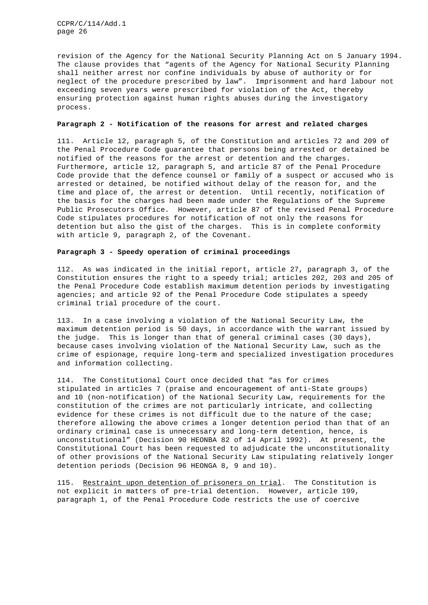revision of the Agency for the National Security Planning Act on 5 January 1994. The clause provides that "agents of the Agency for National Security Planning shall neither arrest nor confine individuals by abuse of authority or for neglect of the procedure prescribed by law". Imprisonment and hard labour not exceeding seven years were prescribed for violation of the Act, thereby ensuring protection against human rights abuses during the investigatory process.

### **Paragraph 2 - Notification of the reasons for arrest and related charges**

111. Article 12, paragraph 5, of the Constitution and articles 72 and 209 of the Penal Procedure Code guarantee that persons being arrested or detained be notified of the reasons for the arrest or detention and the charges. Furthermore, article 12, paragraph 5, and article 87 of the Penal Procedure Code provide that the defence counsel or family of a suspect or accused who is arrested or detained, be notified without delay of the reason for, and the time and place of, the arrest or detention. Until recently, notification of the basis for the charges had been made under the Regulations of the Supreme Public Prosecutors Office. However, article 87 of the revised Penal Procedure Code stipulates procedures for notification of not only the reasons for detention but also the gist of the charges. This is in complete conformity with article 9, paragraph 2, of the Covenant.

# **Paragraph 3 - Speedy operation of criminal proceedings**

112. As was indicated in the initial report, article 27, paragraph 3, of the Constitution ensures the right to a speedy trial; articles 202, 203 and 205 of the Penal Procedure Code establish maximum detention periods by investigating agencies; and article 92 of the Penal Procedure Code stipulates a speedy criminal trial procedure of the court.

113. In a case involving a violation of the National Security Law, the maximum detention period is 50 days, in accordance with the warrant issued by the judge. This is longer than that of general criminal cases (30 days), because cases involving violation of the National Security Law, such as the crime of espionage, require long-term and specialized investigation procedures and information collecting.

114. The Constitutional Court once decided that "as for crimes stipulated in articles 7 (praise and encouragement of anti-State groups) and 10 (non-notification) of the National Security Law, requirements for the constitution of the crimes are not particularly intricate, and collecting evidence for these crimes is not difficult due to the nature of the case; therefore allowing the above crimes a longer detention period than that of an ordinary criminal case is unnecessary and long-term detention, hence, is unconstitutional" (Decision 90 HEONBA 82 of 14 April 1992). At present, the Constitutional Court has been requested to adjudicate the unconstitutionality of other provisions of the National Security Law stipulating relatively longer detention periods (Decision 96 HEONGA 8, 9 and 10).

115. Restraint upon detention of prisoners on trial. The Constitution is not explicit in matters of pre-trial detention. However, article 199, paragraph 1, of the Penal Procedure Code restricts the use of coercive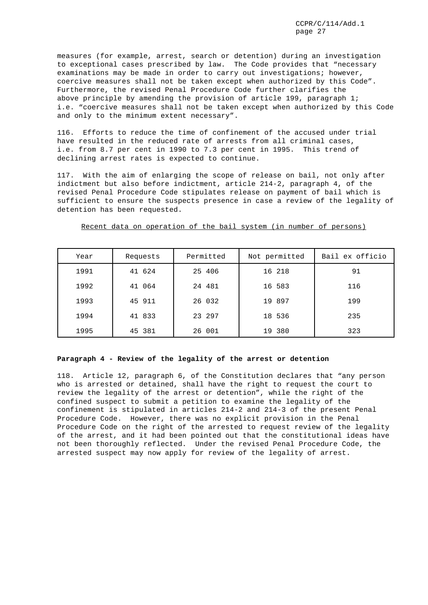measures (for example, arrest, search or detention) during an investigation to exceptional cases prescribed by law. The Code provides that "necessary examinations may be made in order to carry out investigations; however, coercive measures shall not be taken except when authorized by this Code". Furthermore, the revised Penal Procedure Code further clarifies the above principle by amending the provision of article 199, paragraph 1; i.e. "coercive measures shall not be taken except when authorized by this Code and only to the minimum extent necessary".

116. Efforts to reduce the time of confinement of the accused under trial have resulted in the reduced rate of arrests from all criminal cases, i.e. from 8.7 per cent in 1990 to 7.3 per cent in 1995. This trend of declining arrest rates is expected to continue.

117. With the aim of enlarging the scope of release on bail, not only after indictment but also before indictment, article 214-2, paragraph 4, of the revised Penal Procedure Code stipulates release on payment of bail which is sufficient to ensure the suspects presence in case a review of the legality of detention has been requested.

| Year | Requests | Permitted | Not permitted | Bail ex officio |
|------|----------|-----------|---------------|-----------------|
| 1991 | 41 624   | 25 406    | 16 218        | 91              |
| 1992 | 41 064   | 24 481    | 16 583        | 116             |
| 1993 | 45 911   | 26 032    | 19 897        | 199             |
| 1994 | 41 833   | 23 297    | 18 536        | 235             |
| 1995 | 45 381   | 26 001    | 19 380        | 323             |

Recent data on operation of the bail system (in number of persons)

## **Paragraph 4 - Review of the legality of the arrest or detention**

118. Article 12, paragraph 6, of the Constitution declares that "any person who is arrested or detained, shall have the right to request the court to review the legality of the arrest or detention", while the right of the confined suspect to submit a petition to examine the legality of the confinement is stipulated in articles 214-2 and 214-3 of the present Penal Procedure Code. However, there was no explicit provision in the Penal Procedure Code on the right of the arrested to request review of the legality of the arrest, and it had been pointed out that the constitutional ideas have not been thoroughly reflected. Under the revised Penal Procedure Code, the arrested suspect may now apply for review of the legality of arrest.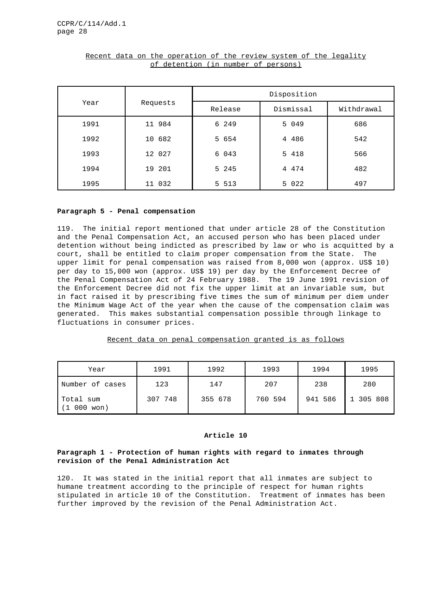|      |          | Disposition |           |            |  |  |
|------|----------|-------------|-----------|------------|--|--|
| Year | Requests | Release     | Dismissal | Withdrawal |  |  |
| 1991 | 11 984   | 6 249       | 5 049     | 686        |  |  |
| 1992 | 10 682   | 5 654       | 4 486     | 542        |  |  |
| 1993 | 12 027   | 6 043       | 5 418     | 566        |  |  |
| 1994 | 19 201   | 5 245       | 4 4 7 4   | 482        |  |  |
| 1995 | 11 032   | 5 5 1 3     | 5 0 2 2   | 497        |  |  |

# Recent data on the operation of the review system of the legality of detention (in number of persons)

# **Paragraph 5 - Penal compensation**

119. The initial report mentioned that under article 28 of the Constitution and the Penal Compensation Act, an accused person who has been placed under detention without being indicted as prescribed by law or who is acquitted by a court, shall be entitled to claim proper compensation from the State. The upper limit for penal compensation was raised from 8,000 won (approx. US\$ 10) per day to 15,000 won (approx. US\$ 19) per day by the Enforcement Decree of the Penal Compensation Act of 24 February 1988. The 19 June 1991 revision of the Enforcement Decree did not fix the upper limit at an invariable sum, but in fact raised it by prescribing five times the sum of minimum per diem under the Minimum Wage Act of the year when the cause of the compensation claim was generated. This makes substantial compensation possible through linkage to fluctuations in consumer prices.

# Recent data on penal compensation granted is as follows

| Year                                  | 1991    | 1992    | 1993    | 1994    | 1995      |
|---------------------------------------|---------|---------|---------|---------|-----------|
| Number of cases                       | 123     | 147     | 207     | 238     | 280       |
| Total sum<br>000 won)<br>$\mathbf{1}$ | 307 748 | 355 678 | 760 594 | 941 586 | 1 305 808 |

# **Article 10**

# **Paragraph 1 - Protection of human rights with regard to inmates through revision of the Penal Administration Act**

120. It was stated in the initial report that all inmates are subject to humane treatment according to the principle of respect for human rights stipulated in article 10 of the Constitution. Treatment of inmates has been further improved by the revision of the Penal Administration Act.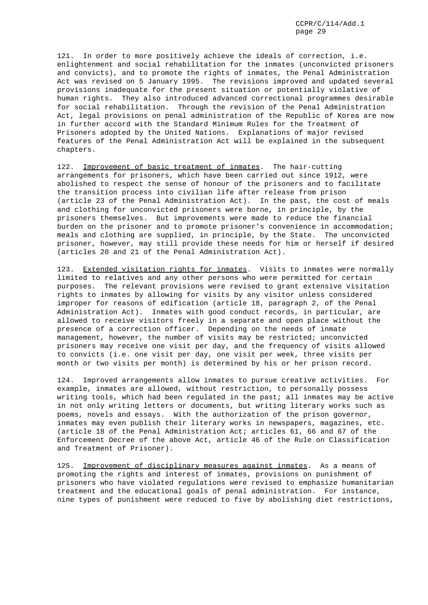121. In order to more positively achieve the ideals of correction, i.e. enlightenment and social rehabilitation for the inmates (unconvicted prisoners and convicts), and to promote the rights of inmates, the Penal Administration Act was revised on 5 January 1995. The revisions improved and updated several provisions inadequate for the present situation or potentially violative of human rights. They also introduced advanced correctional programmes desirable for social rehabilitation. Through the revision of the Penal Administration Act, legal provisions on penal administration of the Republic of Korea are now in further accord with the Standard Minimum Rules for the Treatment of Prisoners adopted by the United Nations. Explanations of major revised features of the Penal Administration Act will be explained in the subsequent chapters.

122. Improvement of basic treatment of inmates. The hair-cutting arrangements for prisoners, which have been carried out since 1912, were abolished to respect the sense of honour of the prisoners and to facilitate the transition process into civilian life after release from prison (article 23 of the Penal Administration Act). In the past, the cost of meals and clothing for unconvicted prisoners were borne, in principle, by the prisoners themselves. But improvements were made to reduce the financial burden on the prisoner and to promote prisoner's convenience in accommodation; meals and clothing are supplied, in principle, by the State. The unconvicted prisoner, however, may still provide these needs for him or herself if desired (articles 20 and 21 of the Penal Administration Act).

123. Extended visitation rights for inmates. Visits to inmates were normally limited to relatives and any other persons who were permitted for certain purposes. The relevant provisions were revised to grant extensive visitation rights to inmates by allowing for visits by any visitor unless considered improper for reasons of edification (article 18, paragraph 2, of the Penal Administration Act). Inmates with good conduct records, in particular, are allowed to receive visitors freely in a separate and open place without the presence of a correction officer. Depending on the needs of inmate management, however, the number of visits may be restricted; unconvicted prisoners may receive one visit per day, and the frequency of visits allowed to convicts (i.e. one visit per day, one visit per week, three visits per month or two visits per month) is determined by his or her prison record.

124. Improved arrangements allow inmates to pursue creative activities. For example, inmates are allowed, without restriction, to personally possess writing tools, which had been regulated in the past; all inmates may be active in not only writing letters or documents, but writing literary works such as poems, novels and essays. With the authorization of the prison governor, inmates may even publish their literary works in newspapers, magazines, etc. (article 18 of the Penal Administration Act; articles 61, 66 and 67 of the Enforcement Decree of the above Act, article 46 of the Rule on Classification and Treatment of Prisoner).

125. Improvement of disciplinary measures against inmates. As a means of promoting the rights and interest of inmates, provisions on punishment of prisoners who have violated regulations were revised to emphasize humanitarian treatment and the educational goals of penal administration. For instance, nine types of punishment were reduced to five by abolishing diet restrictions,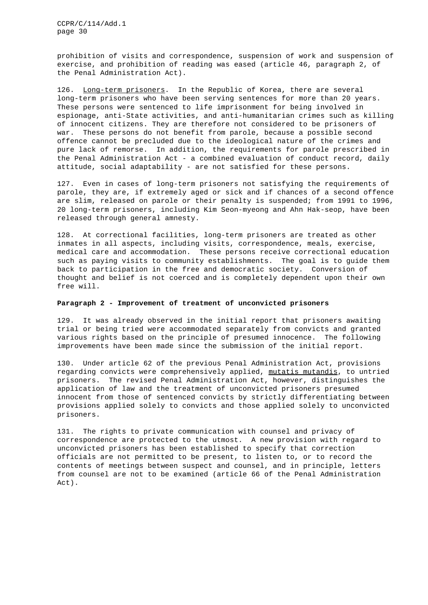prohibition of visits and correspondence, suspension of work and suspension of exercise, and prohibition of reading was eased (article 46, paragraph 2, of the Penal Administration Act).

126. Long-term prisoners. In the Republic of Korea, there are several long-term prisoners who have been serving sentences for more than 20 years. These persons were sentenced to life imprisonment for being involved in espionage, anti-State activities, and anti-humanitarian crimes such as killing of innocent citizens. They are therefore not considered to be prisoners of war. These persons do not benefit from parole, because a possible second offence cannot be precluded due to the ideological nature of the crimes and pure lack of remorse. In addition, the requirements for parole prescribed in the Penal Administration Act - a combined evaluation of conduct record, daily attitude, social adaptability - are not satisfied for these persons.

127. Even in cases of long-term prisoners not satisfying the requirements of parole, they are, if extremely aged or sick and if chances of a second offence are slim, released on parole or their penalty is suspended; from 1991 to 1996, 20 long-term prisoners, including Kim Seon-myeong and Ahn Hak-seop, have been released through general amnesty.

128. At correctional facilities, long-term prisoners are treated as other inmates in all aspects, including visits, correspondence, meals, exercise, medical care and accommodation. These persons receive correctional education such as paying visits to community establishments. The goal is to guide them back to participation in the free and democratic society. Conversion of thought and belief is not coerced and is completely dependent upon their own free will.

# **Paragraph 2 - Improvement of treatment of unconvicted prisoners**

129. It was already observed in the initial report that prisoners awaiting trial or being tried were accommodated separately from convicts and granted various rights based on the principle of presumed innocence. The following improvements have been made since the submission of the initial report.

130. Under article 62 of the previous Penal Administration Act, provisions regarding convicts were comprehensively applied, mutatis mutandis, to untried prisoners. The revised Penal Administration Act, however, distinguishes the application of law and the treatment of unconvicted prisoners presumed innocent from those of sentenced convicts by strictly differentiating between provisions applied solely to convicts and those applied solely to unconvicted prisoners.

131. The rights to private communication with counsel and privacy of correspondence are protected to the utmost. A new provision with regard to unconvicted prisoners has been established to specify that correction officials are not permitted to be present, to listen to, or to record the contents of meetings between suspect and counsel, and in principle, letters from counsel are not to be examined (article 66 of the Penal Administration Act).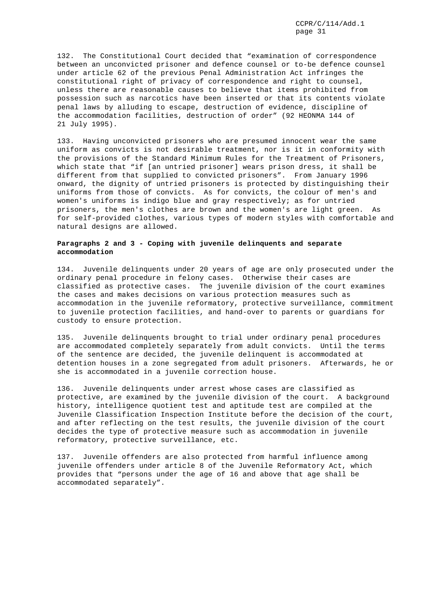132. The Constitutional Court decided that "examination of correspondence between an unconvicted prisoner and defence counsel or to-be defence counsel under article 62 of the previous Penal Administration Act infringes the constitutional right of privacy of correspondence and right to counsel, unless there are reasonable causes to believe that items prohibited from possession such as narcotics have been inserted or that its contents violate penal laws by alluding to escape, destruction of evidence, discipline of the accommodation facilities, destruction of order" (92 HEONMA 144 of 21 July 1995).

133. Having unconvicted prisoners who are presumed innocent wear the same uniform as convicts is not desirable treatment, nor is it in conformity with the provisions of the Standard Minimum Rules for the Treatment of Prisoners, which state that "if [an untried prisoner] wears prison dress, it shall be different from that supplied to convicted prisoners". From January 1996 onward, the dignity of untried prisoners is protected by distinguishing their uniforms from those of convicts. As for convicts, the colour of men's and women's uniforms is indigo blue and gray respectively; as for untried prisoners, the men's clothes are brown and the women's are light green. As for self-provided clothes, various types of modern styles with comfortable and natural designs are allowed.

# **Paragraphs 2 and 3 - Coping with juvenile delinquents and separate accommodation**

134. Juvenile delinquents under 20 years of age are only prosecuted under the ordinary penal procedure in felony cases. Otherwise their cases are classified as protective cases. The juvenile division of the court examines the cases and makes decisions on various protection measures such as accommodation in the juvenile reformatory, protective surveillance, commitment to juvenile protection facilities, and hand-over to parents or guardians for custody to ensure protection.

135. Juvenile delinquents brought to trial under ordinary penal procedures are accommodated completely separately from adult convicts. Until the terms of the sentence are decided, the juvenile delinquent is accommodated at detention houses in a zone segregated from adult prisoners. Afterwards, he or she is accommodated in a juvenile correction house.

136. Juvenile delinquents under arrest whose cases are classified as protective, are examined by the juvenile division of the court. A background history, intelligence quotient test and aptitude test are compiled at the Juvenile Classification Inspection Institute before the decision of the court, and after reflecting on the test results, the juvenile division of the court decides the type of protective measure such as accommodation in juvenile reformatory, protective surveillance, etc.

137. Juvenile offenders are also protected from harmful influence among juvenile offenders under article 8 of the Juvenile Reformatory Act, which provides that "persons under the age of 16 and above that age shall be accommodated separately".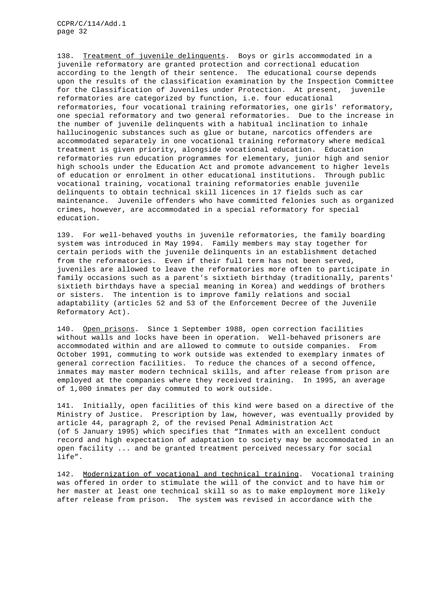138. Treatment of juvenile delinquents. Boys or girls accommodated in a juvenile reformatory are granted protection and correctional education according to the length of their sentence. The educational course depends upon the results of the classification examination by the Inspection Committee for the Classification of Juveniles under Protection. At present, juvenile reformatories are categorized by function, i.e. four educational reformatories, four vocational training reformatories, one girls' reformatory, one special reformatory and two general reformatories. Due to the increase in the number of juvenile delinquents with a habitual inclination to inhale hallucinogenic substances such as glue or butane, narcotics offenders are accommodated separately in one vocational training reformatory where medical treatment is given priority, alongside vocational education. Education reformatories run education programmes for elementary, junior high and senior high schools under the Education Act and promote advancement to higher levels of education or enrolment in other educational institutions. Through public vocational training, vocational training reformatories enable juvenile delinquents to obtain technical skill licences in 17 fields such as car maintenance. Juvenile offenders who have committed felonies such as organized crimes, however, are accommodated in a special reformatory for special education.

139. For well-behaved youths in juvenile reformatories, the family boarding system was introduced in May 1994. Family members may stay together for certain periods with the juvenile delinquents in an establishment detached from the reformatories. Even if their full term has not been served, juveniles are allowed to leave the reformatories more often to participate in family occasions such as a parent's sixtieth birthday (traditionally, parents' sixtieth birthdays have a special meaning in Korea) and weddings of brothers or sisters. The intention is to improve family relations and social adaptability (articles 52 and 53 of the Enforcement Decree of the Juvenile Reformatory Act).

140. Open prisons. Since 1 September 1988, open correction facilities without walls and locks have been in operation. Well-behaved prisoners are accommodated within and are allowed to commute to outside companies. From October 1991, commuting to work outside was extended to exemplary inmates of general correction facilities. To reduce the chances of a second offence, inmates may master modern technical skills, and after release from prison are employed at the companies where they received training. In 1995, an average of 1,000 inmates per day commuted to work outside.

141. Initially, open facilities of this kind were based on a directive of the Ministry of Justice. Prescription by law, however, was eventually provided by article 44, paragraph 2, of the revised Penal Administration Act (of 5 January 1995) which specifies that "Inmates with an excellent conduct record and high expectation of adaptation to society may be accommodated in an open facility ... and be granted treatment perceived necessary for social life".

142. Modernization of vocational and technical training. Vocational training was offered in order to stimulate the will of the convict and to have him or her master at least one technical skill so as to make employment more likely after release from prison. The system was revised in accordance with the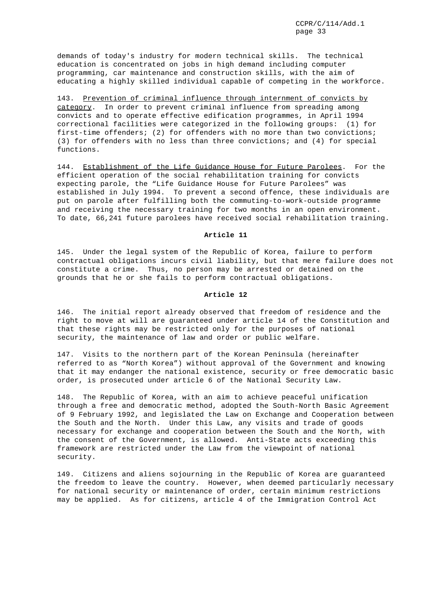demands of today's industry for modern technical skills. The technical education is concentrated on jobs in high demand including computer programming, car maintenance and construction skills, with the aim of educating a highly skilled individual capable of competing in the workforce.

143. Prevention of criminal influence through internment of convicts by category. In order to prevent criminal influence from spreading among convicts and to operate effective edification programmes, in April 1994 correctional facilities were categorized in the following groups: (1) for first-time offenders; (2) for offenders with no more than two convictions; (3) for offenders with no less than three convictions; and (4) for special functions.

144. Establishment of the Life Guidance House for Future Parolees. For the efficient operation of the social rehabilitation training for convicts expecting parole, the "Life Guidance House for Future Parolees" was established in July 1994. To prevent a second offence, these individuals are put on parole after fulfilling both the commuting-to-work-outside programme and receiving the necessary training for two months in an open environment. To date, 66,241 future parolees have received social rehabilitation training.

## **Article 11**

145. Under the legal system of the Republic of Korea, failure to perform contractual obligations incurs civil liability, but that mere failure does not constitute a crime. Thus, no person may be arrested or detained on the grounds that he or she fails to perform contractual obligations.

# **Article 12**

146. The initial report already observed that freedom of residence and the right to move at will are guaranteed under article 14 of the Constitution and that these rights may be restricted only for the purposes of national security, the maintenance of law and order or public welfare.

147. Visits to the northern part of the Korean Peninsula (hereinafter referred to as "North Korea") without approval of the Government and knowing that it may endanger the national existence, security or free democratic basic order, is prosecuted under article 6 of the National Security Law.

148. The Republic of Korea, with an aim to achieve peaceful unification through a free and democratic method, adopted the South-North Basic Agreement of 9 February 1992, and legislated the Law on Exchange and Cooperation between the South and the North. Under this Law, any visits and trade of goods necessary for exchange and cooperation between the South and the North, with the consent of the Government, is allowed. Anti-State acts exceeding this framework are restricted under the Law from the viewpoint of national security.

149. Citizens and aliens sojourning in the Republic of Korea are guaranteed the freedom to leave the country. However, when deemed particularly necessary for national security or maintenance of order, certain minimum restrictions may be applied. As for citizens, article 4 of the Immigration Control Act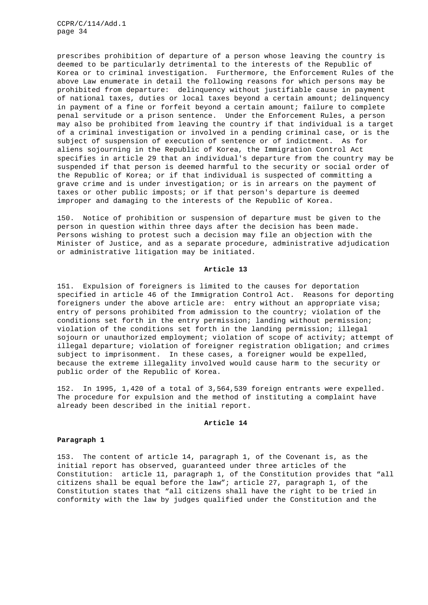prescribes prohibition of departure of a person whose leaving the country is deemed to be particularly detrimental to the interests of the Republic of Korea or to criminal investigation. Furthermore, the Enforcement Rules of the above Law enumerate in detail the following reasons for which persons may be prohibited from departure: delinquency without justifiable cause in payment of national taxes, duties or local taxes beyond a certain amount; delinquency in payment of a fine or forfeit beyond a certain amount; failure to complete penal servitude or a prison sentence. Under the Enforcement Rules, a person may also be prohibited from leaving the country if that individual is a target of a criminal investigation or involved in a pending criminal case, or is the subject of suspension of execution of sentence or of indictment. As for aliens sojourning in the Republic of Korea, the Immigration Control Act specifies in article 29 that an individual's departure from the country may be suspended if that person is deemed harmful to the security or social order of the Republic of Korea; or if that individual is suspected of committing a grave crime and is under investigation; or is in arrears on the payment of taxes or other public imposts; or if that person's departure is deemed improper and damaging to the interests of the Republic of Korea.

150. Notice of prohibition or suspension of departure must be given to the person in question within three days after the decision has been made. Persons wishing to protest such a decision may file an objection with the Minister of Justice, and as a separate procedure, administrative adjudication or administrative litigation may be initiated.

### **Article 13**

151. Expulsion of foreigners is limited to the causes for deportation specified in article 46 of the Immigration Control Act. Reasons for deporting foreigners under the above article are: entry without an appropriate visa; entry of persons prohibited from admission to the country; violation of the conditions set forth in the entry permission; landing without permission; violation of the conditions set forth in the landing permission; illegal sojourn or unauthorized employment; violation of scope of activity; attempt of illegal departure; violation of foreigner registration obligation; and crimes subject to imprisonment. In these cases, a foreigner would be expelled, because the extreme illegality involved would cause harm to the security or public order of the Republic of Korea.

152. In 1995, 1,420 of a total of 3,564,539 foreign entrants were expelled. The procedure for expulsion and the method of instituting a complaint have already been described in the initial report.

#### **Article 14**

# **Paragraph 1**

153. The content of article 14, paragraph 1, of the Covenant is, as the initial report has observed, guaranteed under three articles of the Constitution: article 11, paragraph 1, of the Constitution provides that "all citizens shall be equal before the law"; article 27, paragraph 1, of the Constitution states that "all citizens shall have the right to be tried in conformity with the law by judges qualified under the Constitution and the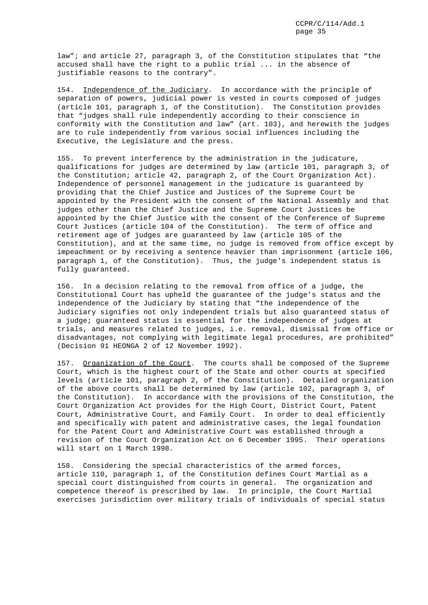law"; and article 27, paragraph 3, of the Constitution stipulates that "the accused shall have the right to a public trial ... in the absence of justifiable reasons to the contrary".

154. Independence of the Judiciary. In accordance with the principle of separation of powers, judicial power is vested in courts composed of judges (article 101, paragraph 1, of the Constitution). The Constitution provides that "judges shall rule independently according to their conscience in conformity with the Constitution and law" (art. 103), and herewith the judges are to rule independently from various social influences including the Executive, the Legislature and the press.

155. To prevent interference by the administration in the judicature, qualifications for judges are determined by law (article 101, paragraph 3, of the Constitution; article 42, paragraph 2, of the Court Organization Act). Independence of personnel management in the judicature is guaranteed by providing that the Chief Justice and Justices of the Supreme Court be appointed by the President with the consent of the National Assembly and that judges other than the Chief Justice and the Supreme Court Justices be appointed by the Chief Justice with the consent of the Conference of Supreme Court Justices (article 104 of the Constitution). The term of office and retirement age of judges are guaranteed by law (article 105 of the Constitution), and at the same time, no judge is removed from office except by impeachment or by receiving a sentence heavier than imprisonment (article 106, paragraph 1, of the Constitution). Thus, the judge's independent status is fully guaranteed.

156. In a decision relating to the removal from office of a judge, the Constitutional Court has upheld the guarantee of the judge's status and the independence of the Judiciary by stating that "the independence of the Judiciary signifies not only independent trials but also guaranteed status of a judge; guaranteed status is essential for the independence of judges at trials, and measures related to judges, i.e. removal, dismissal from office or disadvantages, not complying with legitimate legal procedures, are prohibited" (Decision 91 HEONGA 2 of 12 November 1992).

157. Organization of the Court. The courts shall be composed of the Supreme Court, which is the highest court of the State and other courts at specified levels (article 101, paragraph 2, of the Constitution). Detailed organization of the above courts shall be determined by law (article 102, paragraph 3, of the Constitution). In accordance with the provisions of the Constitution, the Court Organization Act provides for the High Court, District Court, Patent Court, Administrative Court, and Family Court. In order to deal efficiently and specifically with patent and administrative cases, the legal foundation for the Patent Court and Administrative Court was established through a revision of the Court Organization Act on 6 December 1995. Their operations will start on 1 March 1998.

158. Considering the special characteristics of the armed forces, article 110, paragraph 1, of the Constitution defines Court Martial as a special court distinguished from courts in general. The organization and competence thereof is prescribed by law. In principle, the Court Martial exercises jurisdiction over military trials of individuals of special status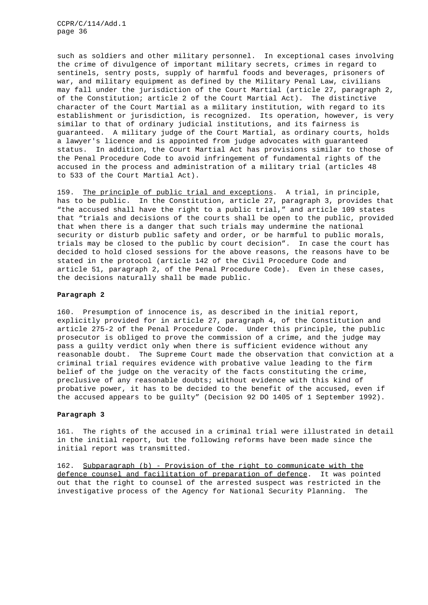such as soldiers and other military personnel. In exceptional cases involving the crime of divulgence of important military secrets, crimes in regard to sentinels, sentry posts, supply of harmful foods and beverages, prisoners of war, and military equipment as defined by the Military Penal Law, civilians may fall under the jurisdiction of the Court Martial (article 27, paragraph 2, of the Constitution; article 2 of the Court Martial Act). The distinctive character of the Court Martial as a military institution, with regard to its establishment or jurisdiction, is recognized. Its operation, however, is very similar to that of ordinary judicial institutions, and its fairness is guaranteed. A military judge of the Court Martial, as ordinary courts, holds a lawyer's licence and is appointed from judge advocates with guaranteed status. In addition, the Court Martial Act has provisions similar to those of the Penal Procedure Code to avoid infringement of fundamental rights of the accused in the process and administration of a military trial (articles 48 to 533 of the Court Martial Act).

159. The principle of public trial and exceptions. A trial, in principle, has to be public. In the Constitution, article 27, paragraph 3, provides that "the accused shall have the right to a public trial," and article 109 states that "trials and decisions of the courts shall be open to the public, provided that when there is a danger that such trials may undermine the national security or disturb public safety and order, or be harmful to public morals, trials may be closed to the public by court decision". In case the court has decided to hold closed sessions for the above reasons, the reasons have to be stated in the protocol (article 142 of the Civil Procedure Code and article 51, paragraph 2, of the Penal Procedure Code). Even in these cases, the decisions naturally shall be made public.

# **Paragraph 2**

160. Presumption of innocence is, as described in the initial report, explicitly provided for in article 27, paragraph 4, of the Constitution and article 275-2 of the Penal Procedure Code. Under this principle, the public prosecutor is obliged to prove the commission of a crime, and the judge may pass a guilty verdict only when there is sufficient evidence without any reasonable doubt. The Supreme Court made the observation that conviction at a criminal trial requires evidence with probative value leading to the firm belief of the judge on the veracity of the facts constituting the crime, preclusive of any reasonable doubts; without evidence with this kind of probative power, it has to be decided to the benefit of the accused, even if the accused appears to be guilty" (Decision 92 DO 1405 of 1 September 1992).

# **Paragraph 3**

161. The rights of the accused in a criminal trial were illustrated in detail in the initial report, but the following reforms have been made since the initial report was transmitted.

162. Subparagraph (b) - Provision of the right to communicate with the defence counsel and facilitation of preparation of defence. It was pointed out that the right to counsel of the arrested suspect was restricted in the investigative process of the Agency for National Security Planning. The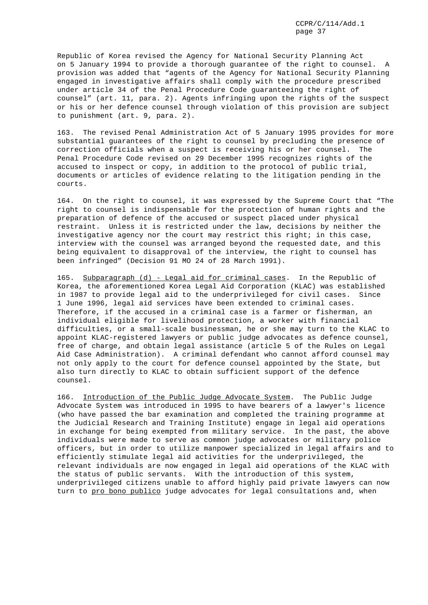Republic of Korea revised the Agency for National Security Planning Act on 5 January 1994 to provide a thorough guarantee of the right to counsel. A provision was added that "agents of the Agency for National Security Planning engaged in investigative affairs shall comply with the procedure prescribed under article 34 of the Penal Procedure Code guaranteeing the right of counsel" (art. 11, para. 2). Agents infringing upon the rights of the suspect or his or her defence counsel through violation of this provision are subject to punishment (art. 9, para. 2).

163. The revised Penal Administration Act of 5 January 1995 provides for more substantial guarantees of the right to counsel by precluding the presence of correction officials when a suspect is receiving his or her counsel. The Penal Procedure Code revised on 29 December 1995 recognizes rights of the accused to inspect or copy, in addition to the protocol of public trial, documents or articles of evidence relating to the litigation pending in the courts.

164. On the right to counsel, it was expressed by the Supreme Court that "The right to counsel is indispensable for the protection of human rights and the preparation of defence of the accused or suspect placed under physical restraint. Unless it is restricted under the law, decisions by neither the investigative agency nor the court may restrict this right; in this case, interview with the counsel was arranged beyond the requested date, and this being equivalent to disapproval of the interview, the right to counsel has been infringed" (Decision 91 MO 24 of 28 March 1991).

165. Subparagraph (d) - Legal aid for criminal cases. In the Republic of Korea, the aforementioned Korea Legal Aid Corporation (KLAC) was established in 1987 to provide legal aid to the underprivileged for civil cases. Since 1 June 1996, legal aid services have been extended to criminal cases. Therefore, if the accused in a criminal case is a farmer or fisherman, an individual eligible for livelihood protection, a worker with financial difficulties, or a small-scale businessman, he or she may turn to the KLAC to appoint KLAC-registered lawyers or public judge advocates as defence counsel, free of charge, and obtain legal assistance (article 5 of the Rules on Legal Aid Case Administration). A criminal defendant who cannot afford counsel may not only apply to the court for defence counsel appointed by the State, but also turn directly to KLAC to obtain sufficient support of the defence counsel.

166. Introduction of the Public Judge Advocate System. The Public Judge Advocate System was introduced in 1995 to have bearers of a lawyer's licence (who have passed the bar examination and completed the training programme at the Judicial Research and Training Institute) engage in legal aid operations in exchange for being exempted from military service. In the past, the above individuals were made to serve as common judge advocates or military police officers, but in order to utilize manpower specialized in legal affairs and to efficiently stimulate legal aid activities for the underprivileged, the relevant individuals are now engaged in legal aid operations of the KLAC with the status of public servants. With the introduction of this system, underprivileged citizens unable to afford highly paid private lawyers can now turn to pro bono publico judge advocates for legal consultations and, when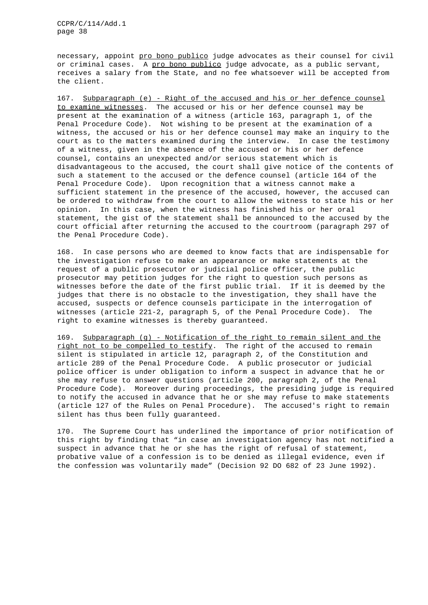necessary, appoint pro bono publico judge advocates as their counsel for civil or criminal cases. A pro bono publico judge advocate, as a public servant, receives a salary from the State, and no fee whatsoever will be accepted from the client.

167. Subparagraph (e) - Right of the accused and his or her defence counsel to examine witnesses. The accused or his or her defence counsel may be present at the examination of a witness (article 163, paragraph 1, of the Penal Procedure Code). Not wishing to be present at the examination of a witness, the accused or his or her defence counsel may make an inquiry to the court as to the matters examined during the interview. In case the testimony of a witness, given in the absence of the accused or his or her defence counsel, contains an unexpected and/or serious statement which is disadvantageous to the accused, the court shall give notice of the contents of such a statement to the accused or the defence counsel (article 164 of the Penal Procedure Code). Upon recognition that a witness cannot make a sufficient statement in the presence of the accused, however, the accused can be ordered to withdraw from the court to allow the witness to state his or her opinion. In this case, when the witness has finished his or her oral statement, the gist of the statement shall be announced to the accused by the court official after returning the accused to the courtroom (paragraph 297 of the Penal Procedure Code).

168. In case persons who are deemed to know facts that are indispensable for the investigation refuse to make an appearance or make statements at the request of a public prosecutor or judicial police officer, the public prosecutor may petition judges for the right to question such persons as witnesses before the date of the first public trial. If it is deemed by the judges that there is no obstacle to the investigation, they shall have the accused, suspects or defence counsels participate in the interrogation of witnesses (article 221-2, paragraph 5, of the Penal Procedure Code). The right to examine witnesses is thereby guaranteed.

169. Subparagraph (g) - Notification of the right to remain silent and the right not to be compelled to testify. The right of the accused to remain silent is stipulated in article 12, paragraph 2, of the Constitution and article 289 of the Penal Procedure Code. A public prosecutor or judicial police officer is under obligation to inform a suspect in advance that he or she may refuse to answer questions (article 200, paragraph 2, of the Penal Procedure Code). Moreover during proceedings, the presiding judge is required to notify the accused in advance that he or she may refuse to make statements (article 127 of the Rules on Penal Procedure). The accused's right to remain silent has thus been fully guaranteed.

170. The Supreme Court has underlined the importance of prior notification of this right by finding that "in case an investigation agency has not notified a suspect in advance that he or she has the right of refusal of statement, probative value of a confession is to be denied as illegal evidence, even if the confession was voluntarily made" (Decision 92 DO 682 of 23 June 1992).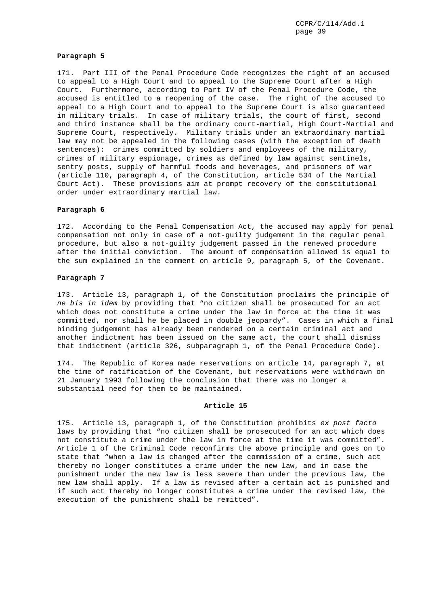#### **Paragraph 5**

171. Part III of the Penal Procedure Code recognizes the right of an accused to appeal to a High Court and to appeal to the Supreme Court after a High Court. Furthermore, according to Part IV of the Penal Procedure Code, the accused is entitled to a reopening of the case. The right of the accused to appeal to a High Court and to appeal to the Supreme Court is also guaranteed in military trials. In case of military trials, the court of first, second and third instance shall be the ordinary court-martial, High Court-Martial and Supreme Court, respectively. Military trials under an extraordinary martial law may not be appealed in the following cases (with the exception of death sentences): crimes committed by soldiers and employees of the military, crimes of military espionage, crimes as defined by law against sentinels, sentry posts, supply of harmful foods and beverages, and prisoners of war (article 110, paragraph 4, of the Constitution, article 534 of the Martial Court Act). These provisions aim at prompt recovery of the constitutional order under extraordinary martial law.

# **Paragraph 6**

172. According to the Penal Compensation Act, the accused may apply for penal compensation not only in case of a not-guilty judgement in the regular penal procedure, but also a not-guilty judgement passed in the renewed procedure after the initial conviction. The amount of compensation allowed is equal to the sum explained in the comment on article 9, paragraph 5, of the Covenant.

# **Paragraph 7**

173. Article 13, paragraph 1, of the Constitution proclaims the principle of *ne bis in idem* by providing that "no citizen shall be prosecuted for an act which does not constitute a crime under the law in force at the time it was committed, nor shall he be placed in double jeopardy". Cases in which a final binding judgement has already been rendered on a certain criminal act and another indictment has been issued on the same act, the court shall dismiss that indictment (article 326, subparagraph 1, of the Penal Procedure Code).

174. The Republic of Korea made reservations on article 14, paragraph 7, at the time of ratification of the Covenant, but reservations were withdrawn on 21 January 1993 following the conclusion that there was no longer a substantial need for them to be maintained.

# **Article 15**

175. Article 13, paragraph 1, of the Constitution prohibits *ex post facto* laws by providing that "no citizen shall be prosecuted for an act which does not constitute a crime under the law in force at the time it was committed". Article 1 of the Criminal Code reconfirms the above principle and goes on to state that "when a law is changed after the commission of a crime, such act thereby no longer constitutes a crime under the new law, and in case the punishment under the new law is less severe than under the previous law, the new law shall apply. If a law is revised after a certain act is punished and if such act thereby no longer constitutes a crime under the revised law, the execution of the punishment shall be remitted".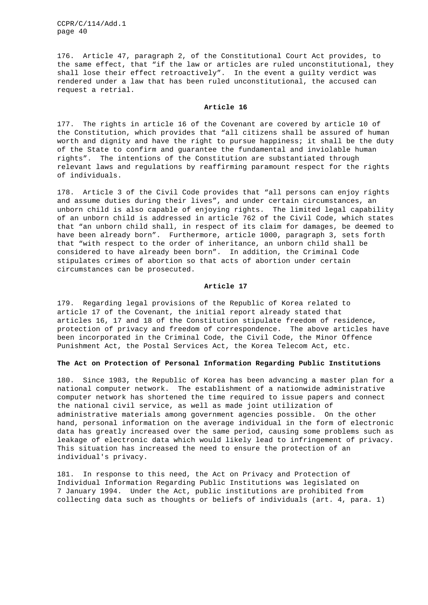176. Article 47, paragraph 2, of the Constitutional Court Act provides, to the same effect, that "if the law or articles are ruled unconstitutional, they shall lose their effect retroactively". In the event a guilty verdict was rendered under a law that has been ruled unconstitutional, the accused can request a retrial.

## **Article 16**

177. The rights in article 16 of the Covenant are covered by article 10 of the Constitution, which provides that "all citizens shall be assured of human worth and dignity and have the right to pursue happiness; it shall be the duty of the State to confirm and guarantee the fundamental and inviolable human rights". The intentions of the Constitution are substantiated through relevant laws and regulations by reaffirming paramount respect for the rights of individuals.

178. Article 3 of the Civil Code provides that "all persons can enjoy rights and assume duties during their lives", and under certain circumstances, an unborn child is also capable of enjoying rights. The limited legal capability of an unborn child is addressed in article 762 of the Civil Code, which states that "an unborn child shall, in respect of its claim for damages, be deemed to have been already born". Furthermore, article 1000, paragraph 3, sets forth that "with respect to the order of inheritance, an unborn child shall be considered to have already been born". In addition, the Criminal Code stipulates crimes of abortion so that acts of abortion under certain circumstances can be prosecuted.

## **Article 17**

179. Regarding legal provisions of the Republic of Korea related to article 17 of the Covenant, the initial report already stated that articles 16, 17 and 18 of the Constitution stipulate freedom of residence, protection of privacy and freedom of correspondence. The above articles have been incorporated in the Criminal Code, the Civil Code, the Minor Offence Punishment Act, the Postal Services Act, the Korea Telecom Act, etc.

## **The Act on Protection of Personal Information Regarding Public Institutions**

180. Since 1983, the Republic of Korea has been advancing a master plan for a national computer network. The establishment of a nationwide administrative computer network has shortened the time required to issue papers and connect the national civil service, as well as made joint utilization of administrative materials among government agencies possible. On the other hand, personal information on the average individual in the form of electronic data has greatly increased over the same period, causing some problems such as leakage of electronic data which would likely lead to infringement of privacy. This situation has increased the need to ensure the protection of an individual's privacy.

181. In response to this need, the Act on Privacy and Protection of Individual Information Regarding Public Institutions was legislated on 7 January 1994. Under the Act, public institutions are prohibited from collecting data such as thoughts or beliefs of individuals (art. 4, para. 1)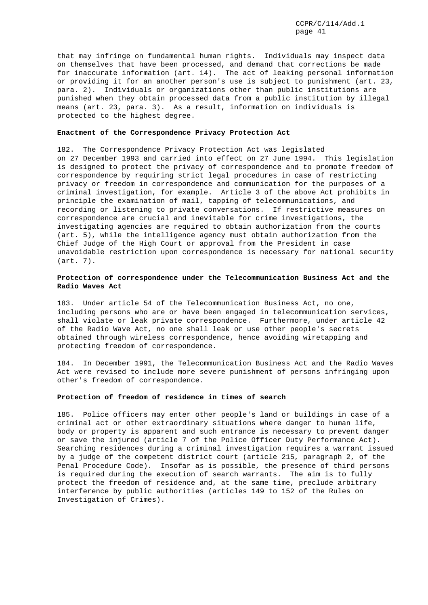that may infringe on fundamental human rights. Individuals may inspect data on themselves that have been processed, and demand that corrections be made for inaccurate information (art. 14). The act of leaking personal information or providing it for an another person's use is subject to punishment (art. 23, para. 2). Individuals or organizations other than public institutions are punished when they obtain processed data from a public institution by illegal means (art. 23, para. 3). As a result, information on individuals is protected to the highest degree.

## **Enactment of the Correspondence Privacy Protection Act**

182. The Correspondence Privacy Protection Act was legislated on 27 December 1993 and carried into effect on 27 June 1994. This legislation is designed to protect the privacy of correspondence and to promote freedom of correspondence by requiring strict legal procedures in case of restricting privacy or freedom in correspondence and communication for the purposes of a criminal investigation, for example. Article 3 of the above Act prohibits in principle the examination of mail, tapping of telecommunications, and recording or listening to private conversations. If restrictive measures on correspondence are crucial and inevitable for crime investigations, the investigating agencies are required to obtain authorization from the courts (art. 5), while the intelligence agency must obtain authorization from the Chief Judge of the High Court or approval from the President in case unavoidable restriction upon correspondence is necessary for national security (art. 7).

# **Protection of correspondence under the Telecommunication Business Act and the Radio Waves Act**

183. Under article 54 of the Telecommunication Business Act, no one, including persons who are or have been engaged in telecommunication services, shall violate or leak private correspondence. Furthermore, under article 42 of the Radio Wave Act, no one shall leak or use other people's secrets obtained through wireless correspondence, hence avoiding wiretapping and protecting freedom of correspondence.

184. In December 1991, the Telecommunication Business Act and the Radio Waves Act were revised to include more severe punishment of persons infringing upon other's freedom of correspondence.

# **Protection of freedom of residence in times of search**

185. Police officers may enter other people's land or buildings in case of a criminal act or other extraordinary situations where danger to human life, body or property is apparent and such entrance is necessary to prevent danger or save the injured (article 7 of the Police Officer Duty Performance Act). Searching residences during a criminal investigation requires a warrant issued by a judge of the competent district court (article 215, paragraph 2, of the Penal Procedure Code). Insofar as is possible, the presence of third persons is required during the execution of search warrants. The aim is to fully protect the freedom of residence and, at the same time, preclude arbitrary interference by public authorities (articles 149 to 152 of the Rules on Investigation of Crimes).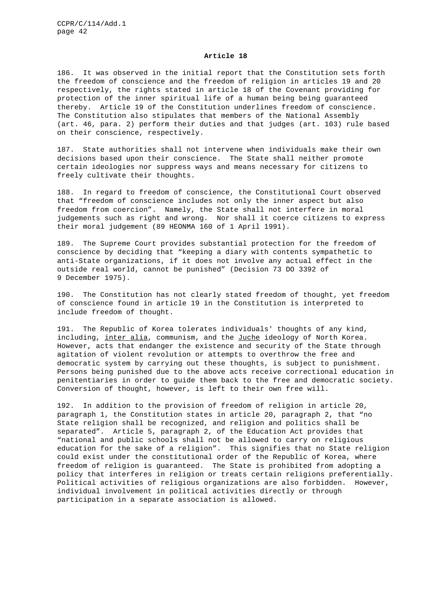#### **Article 18**

186. It was observed in the initial report that the Constitution sets forth the freedom of conscience and the freedom of religion in articles 19 and 20 respectively, the rights stated in article 18 of the Covenant providing for protection of the inner spiritual life of a human being being guaranteed thereby. Article 19 of the Constitution underlines freedom of conscience. The Constitution also stipulates that members of the National Assembly (art. 46, para. 2) perform their duties and that judges (art. 103) rule based on their conscience, respectively.

187. State authorities shall not intervene when individuals make their own decisions based upon their conscience. The State shall neither promote certain ideologies nor suppress ways and means necessary for citizens to freely cultivate their thoughts.

188. In regard to freedom of conscience, the Constitutional Court observed that "freedom of conscience includes not only the inner aspect but also freedom from coercion". Namely, the State shall not interfere in moral judgements such as right and wrong. Nor shall it coerce citizens to express their moral judgement (89 HEONMA 160 of 1 April 1991).

189. The Supreme Court provides substantial protection for the freedom of conscience by deciding that "keeping a diary with contents sympathetic to anti-State organizations, if it does not involve any actual effect in the outside real world, cannot be punished" (Decision 73 DO 3392 of 9 December 1975).

190. The Constitution has not clearly stated freedom of thought, yet freedom of conscience found in article 19 in the Constitution is interpreted to include freedom of thought.

191. The Republic of Korea tolerates individuals' thoughts of any kind, including, inter alia, communism, and the Juche ideology of North Korea. However, acts that endanger the existence and security of the State through agitation of violent revolution or attempts to overthrow the free and democratic system by carrying out these thoughts, is subject to punishment. Persons being punished due to the above acts receive correctional education in penitentiaries in order to guide them back to the free and democratic society. Conversion of thought, however, is left to their own free will.

192. In addition to the provision of freedom of religion in article 20, paragraph 1, the Constitution states in article 20, paragraph 2, that "no State religion shall be recognized, and religion and politics shall be separated". Article 5, paragraph 2, of the Education Act provides that "national and public schools shall not be allowed to carry on religious education for the sake of a religion". This signifies that no State religion could exist under the constitutional order of the Republic of Korea, where freedom of religion is guaranteed. The State is prohibited from adopting a policy that interferes in religion or treats certain religions preferentially. Political activities of religious organizations are also forbidden. However, individual involvement in political activities directly or through participation in a separate association is allowed.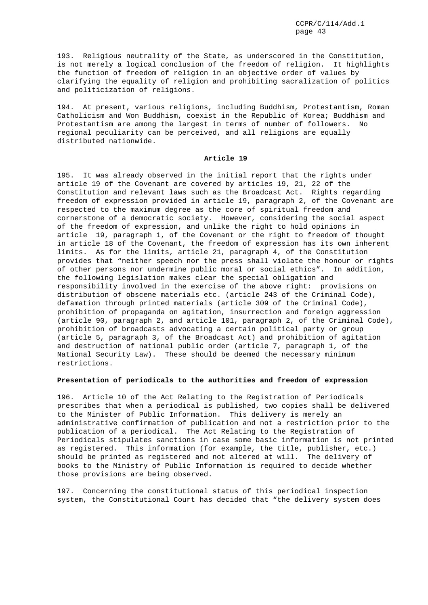193. Religious neutrality of the State, as underscored in the Constitution, is not merely a logical conclusion of the freedom of religion. It highlights the function of freedom of religion in an objective order of values by clarifying the equality of religion and prohibiting sacralization of politics and politicization of religions.

194. At present, various religions, including Buddhism, Protestantism, Roman Catholicism and Won Buddhism, coexist in the Republic of Korea; Buddhism and Protestantism are among the largest in terms of number of followers. No regional peculiarity can be perceived, and all religions are equally distributed nationwide.

## **Article 19**

195. It was already observed in the initial report that the rights under article 19 of the Covenant are covered by articles 19, 21, 22 of the Constitution and relevant laws such as the Broadcast Act. Rights regarding freedom of expression provided in article 19, paragraph 2, of the Covenant are respected to the maximum degree as the core of spiritual freedom and cornerstone of a democratic society. However, considering the social aspect of the freedom of expression, and unlike the right to hold opinions in article 19, paragraph 1, of the Covenant or the right to freedom of thought in article 18 of the Covenant, the freedom of expression has its own inherent limits. As for the limits, article 21, paragraph 4, of the Constitution provides that "neither speech nor the press shall violate the honour or rights of other persons nor undermine public moral or social ethics". In addition, the following legislation makes clear the special obligation and responsibility involved in the exercise of the above right: provisions on distribution of obscene materials etc. (article 243 of the Criminal Code), defamation through printed materials (article 309 of the Criminal Code), prohibition of propaganda on agitation, insurrection and foreign aggression (article 90, paragraph 2, and article 101, paragraph 2, of the Criminal Code), prohibition of broadcasts advocating a certain political party or group (article 5, paragraph 3, of the Broadcast Act) and prohibition of agitation and destruction of national public order (article 7, paragraph 1, of the National Security Law). These should be deemed the necessary minimum restrictions.

# **Presentation of periodicals to the authorities and freedom of expression**

196. Article 10 of the Act Relating to the Registration of Periodicals prescribes that when a periodical is published, two copies shall be delivered to the Minister of Public Information. This delivery is merely an administrative confirmation of publication and not a restriction prior to the publication of a periodical. The Act Relating to the Registration of Periodicals stipulates sanctions in case some basic information is not printed as registered. This information (for example, the title, publisher, etc.) should be printed as registered and not altered at will. The delivery of books to the Ministry of Public Information is required to decide whether those provisions are being observed.

197. Concerning the constitutional status of this periodical inspection system, the Constitutional Court has decided that "the delivery system does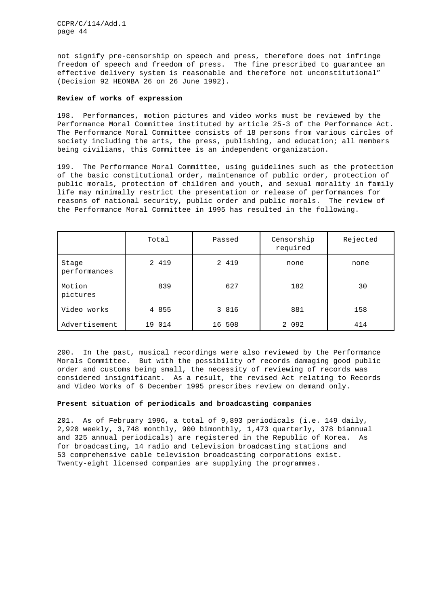not signify pre-censorship on speech and press, therefore does not infringe freedom of speech and freedom of press. The fine prescribed to guarantee an effective delivery system is reasonable and therefore not unconstitutional" (Decision 92 HEONBA 26 on 26 June 1992).

# **Review of works of expression**

198. Performances, motion pictures and video works must be reviewed by the Performance Moral Committee instituted by article 25-3 of the Performance Act. The Performance Moral Committee consists of 18 persons from various circles of society including the arts, the press, publishing, and education; all members being civilians, this Committee is an independent organization.

199. The Performance Moral Committee, using guidelines such as the protection of the basic constitutional order, maintenance of public order, protection of public morals, protection of children and youth, and sexual morality in family life may minimally restrict the presentation or release of performances for reasons of national security, public order and public morals. The review of the Performance Moral Committee in 1995 has resulted in the following.

|                       | Total   | Passed  | Censorship<br>required | Rejected |
|-----------------------|---------|---------|------------------------|----------|
| Stage<br>performances | 2 4 1 9 | 2 4 1 9 | none                   | none     |
| Motion<br>pictures    | 839     | 627     | 182                    | 30       |
| Video works           | 4 8 5 5 | 3 816   | 881                    | 158      |
| Advertisement         | 19 014  | 16 508  | 2 0 9 2                | 414      |

200. In the past, musical recordings were also reviewed by the Performance Morals Committee. But with the possibility of records damaging good public order and customs being small, the necessity of reviewing of records was considered insignificant. As a result, the revised Act relating to Records and Video Works of 6 December 1995 prescribes review on demand only.

# **Present situation of periodicals and broadcasting companies**

201. As of February 1996, a total of 9,893 periodicals (i.e. 149 daily, 2,920 weekly, 3,748 monthly, 900 bimonthly, 1,473 quarterly, 378 biannual and 325 annual periodicals) are registered in the Republic of Korea. As for broadcasting, 14 radio and television broadcasting stations and 53 comprehensive cable television broadcasting corporations exist. Twenty-eight licensed companies are supplying the programmes.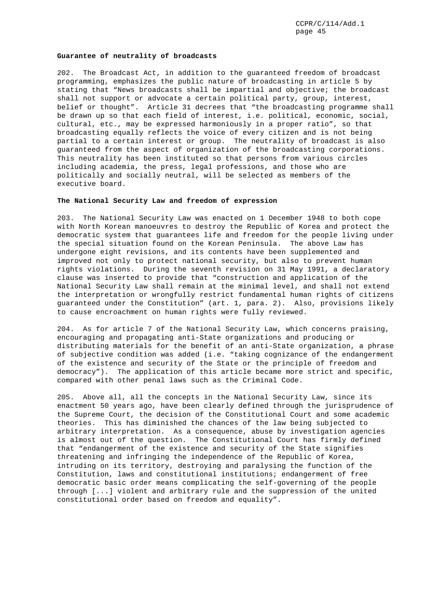#### **Guarantee of neutrality of broadcasts**

202. The Broadcast Act, in addition to the guaranteed freedom of broadcast programming, emphasizes the public nature of broadcasting in article 5 by stating that "News broadcasts shall be impartial and objective; the broadcast shall not support or advocate a certain political party, group, interest, belief or thought". Article 31 decrees that "the broadcasting programme shall be drawn up so that each field of interest, i.e. political, economic, social, cultural, etc., may be expressed harmoniously in a proper ratio", so that broadcasting equally reflects the voice of every citizen and is not being partial to a certain interest or group. The neutrality of broadcast is also guaranteed from the aspect of organization of the broadcasting corporations. This neutrality has been instituted so that persons from various circles including academia, the press, legal professions, and those who are politically and socially neutral, will be selected as members of the executive board.

# **The National Security Law and freedom of expression**

203. The National Security Law was enacted on 1 December 1948 to both cope with North Korean manoeuvres to destroy the Republic of Korea and protect the democratic system that guarantees life and freedom for the people living under the special situation found on the Korean Peninsula. The above Law has undergone eight revisions, and its contents have been supplemented and improved not only to protect national security, but also to prevent human rights violations. During the seventh revision on 31 May 1991, a declaratory clause was inserted to provide that "construction and application of the National Security Law shall remain at the minimal level, and shall not extend the interpretation or wrongfully restrict fundamental human rights of citizens guaranteed under the Constitution" (art. 1, para. 2). Also, provisions likely to cause encroachment on human rights were fully reviewed.

204. As for article 7 of the National Security Law, which concerns praising, encouraging and propagating anti-State organizations and producing or distributing materials for the benefit of an anti-State organization, a phrase of subjective condition was added (i.e. "taking cognizance of the endangerment of the existence and security of the State or the principle of freedom and democracy"). The application of this article became more strict and specific, compared with other penal laws such as the Criminal Code.

205. Above all, all the concepts in the National Security Law, since its enactment 50 years ago, have been clearly defined through the jurisprudence of the Supreme Court, the decision of the Constitutional Court and some academic theories. This has diminished the chances of the law being subjected to arbitrary interpretation. As a consequence, abuse by investigation agencies is almost out of the question. The Constitutional Court has firmly defined that "endangerment of the existence and security of the State signifies threatening and infringing the independence of the Republic of Korea, intruding on its territory, destroying and paralysing the function of the Constitution, laws and constitutional institutions; endangerment of free democratic basic order means complicating the self-governing of the people through [...] violent and arbitrary rule and the suppression of the united constitutional order based on freedom and equality".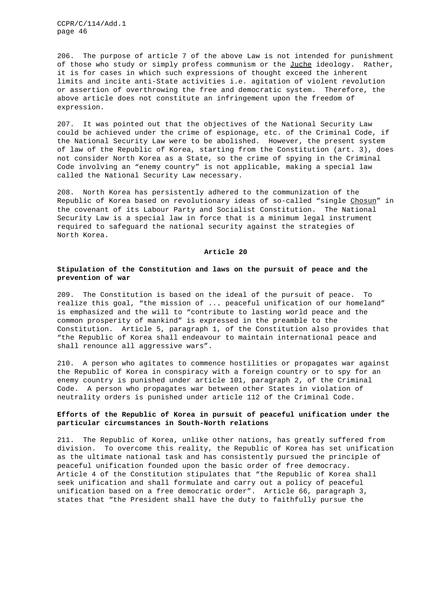206. The purpose of article 7 of the above Law is not intended for punishment of those who study or simply profess communism or the Juche ideology. Rather, it is for cases in which such expressions of thought exceed the inherent limits and incite anti-State activities i.e. agitation of violent revolution or assertion of overthrowing the free and democratic system. Therefore, the above article does not constitute an infringement upon the freedom of expression.

207. It was pointed out that the objectives of the National Security Law could be achieved under the crime of espionage, etc. of the Criminal Code, if the National Security Law were to be abolished. However, the present system of law of the Republic of Korea, starting from the Constitution (art. 3), does not consider North Korea as a State, so the crime of spying in the Criminal Code involving an "enemy country" is not applicable, making a special law called the National Security Law necessary.

208. North Korea has persistently adhered to the communization of the Republic of Korea based on revolutionary ideas of so-called "single Chosun" in the covenant of its Labour Party and Socialist Constitution. The National Security Law is a special law in force that is a minimum legal instrument required to safeguard the national security against the strategies of North Korea.

#### **Article 20**

# **Stipulation of the Constitution and laws on the pursuit of peace and the prevention of war**

209. The Constitution is based on the ideal of the pursuit of peace. To realize this goal, "the mission of ... peaceful unification of our homeland" is emphasized and the will to "contribute to lasting world peace and the common prosperity of mankind" is expressed in the preamble to the Constitution. Article 5, paragraph 1, of the Constitution also provides that "the Republic of Korea shall endeavour to maintain international peace and shall renounce all aggressive wars".

210. A person who agitates to commence hostilities or propagates war against the Republic of Korea in conspiracy with a foreign country or to spy for an enemy country is punished under article 101, paragraph 2, of the Criminal Code. A person who propagates war between other States in violation of neutrality orders is punished under article 112 of the Criminal Code.

# **Efforts of the Republic of Korea in pursuit of peaceful unification under the particular circumstances in South-North relations**

211. The Republic of Korea, unlike other nations, has greatly suffered from division. To overcome this reality, the Republic of Korea has set unification as the ultimate national task and has consistently pursued the principle of peaceful unification founded upon the basic order of free democracy. Article 4 of the Constitution stipulates that "the Republic of Korea shall seek unification and shall formulate and carry out a policy of peaceful unification based on a free democratic order". Article 66, paragraph 3, states that "the President shall have the duty to faithfully pursue the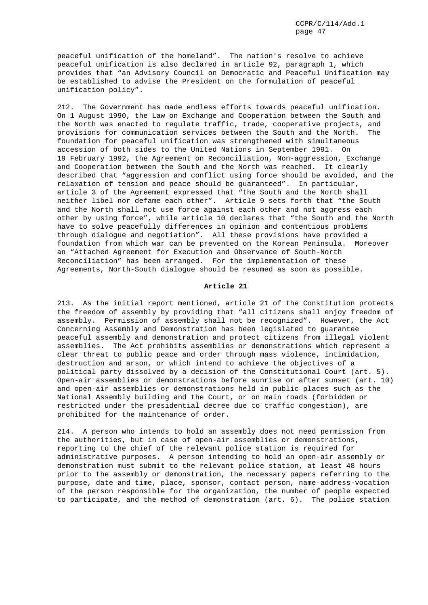peaceful unification of the homeland". The nation's resolve to achieve peaceful unification is also declared in article 92, paragraph 1, which provides that "an Advisory Council on Democratic and Peaceful Unification may be established to advise the President on the formulation of peaceful unification policy".

212. The Government has made endless efforts towards peaceful unification. On 1 August 1990, the Law on Exchange and Cooperation between the South and the North was enacted to regulate traffic, trade, cooperative projects, and provisions for communication services between the South and the North. The foundation for peaceful unification was strengthened with simultaneous accession of both sides to the United Nations in September 1991. On 19 February 1992, the Agreement on Reconciliation, Non-aggression, Exchange and Cooperation between the South and the North was reached. It clearly described that "aggression and conflict using force should be avoided, and the relaxation of tension and peace should be guaranteed". In particular, article 3 of the Agreement expressed that "the South and the North shall neither libel nor defame each other". Article 9 sets forth that "the South and the North shall not use force against each other and not aggress each other by using force", while article 10 declares that "the South and the North have to solve peacefully differences in opinion and contentious problems through dialogue and negotiation". All these provisions have provided a foundation from which war can be prevented on the Korean Peninsula. Moreover an "Attached Agreement for Execution and Observance of South-North Reconciliation" has been arranged. For the implementation of these Agreements, North-South dialogue should be resumed as soon as possible.

# **Article 21**

213. As the initial report mentioned, article 21 of the Constitution protects the freedom of assembly by providing that "all citizens shall enjoy freedom of assembly. Permission of assembly shall not be recognized". However, the Act Concerning Assembly and Demonstration has been legislated to guarantee peaceful assembly and demonstration and protect citizens from illegal violent assemblies. The Act prohibits assemblies or demonstrations which represent a clear threat to public peace and order through mass violence, intimidation, destruction and arson, or which intend to achieve the objectives of a political party dissolved by a decision of the Constitutional Court (art. 5). Open-air assemblies or demonstrations before sunrise or after sunset (art. 10) and open-air assemblies or demonstrations held in public places such as the National Assembly building and the Court, or on main roads (forbidden or restricted under the presidential decree due to traffic congestion), are prohibited for the maintenance of order.

214. A person who intends to hold an assembly does not need permission from the authorities, but in case of open-air assemblies or demonstrations, reporting to the chief of the relevant police station is required for administrative purposes. A person intending to hold an open-air assembly or demonstration must submit to the relevant police station, at least 48 hours prior to the assembly or demonstration, the necessary papers referring to the purpose, date and time, place, sponsor, contact person, name-address-vocation of the person responsible for the organization, the number of people expected to participate, and the method of demonstration (art. 6). The police station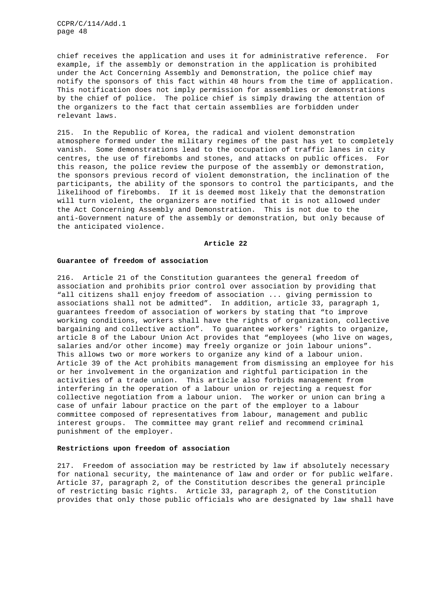chief receives the application and uses it for administrative reference. For example, if the assembly or demonstration in the application is prohibited under the Act Concerning Assembly and Demonstration, the police chief may notify the sponsors of this fact within 48 hours from the time of application. This notification does not imply permission for assemblies or demonstrations by the chief of police. The police chief is simply drawing the attention of the organizers to the fact that certain assemblies are forbidden under relevant laws.

215. In the Republic of Korea, the radical and violent demonstration atmosphere formed under the military regimes of the past has yet to completely vanish. Some demonstrations lead to the occupation of traffic lanes in city centres, the use of firebombs and stones, and attacks on public offices. For this reason, the police review the purpose of the assembly or demonstration, the sponsors previous record of violent demonstration, the inclination of the participants, the ability of the sponsors to control the participants, and the likelihood of firebombs. If it is deemed most likely that the demonstration will turn violent, the organizers are notified that it is not allowed under the Act Concerning Assembly and Demonstration. This is not due to the anti-Government nature of the assembly or demonstration, but only because of the anticipated violence.

## **Article 22**

# **Guarantee of freedom of association**

216. Article 21 of the Constitution guarantees the general freedom of association and prohibits prior control over association by providing that "all citizens shall enjoy freedom of association ... giving permission to associations shall not be admitted". In addition, article 33, paragraph 1, guarantees freedom of association of workers by stating that "to improve working conditions, workers shall have the rights of organization, collective bargaining and collective action". To guarantee workers' rights to organize, article 8 of the Labour Union Act provides that "employees (who live on wages, salaries and/or other income) may freely organize or join labour unions". This allows two or more workers to organize any kind of a labour union. Article 39 of the Act prohibits management from dismissing an employee for his or her involvement in the organization and rightful participation in the activities of a trade union. This article also forbids management from interfering in the operation of a labour union or rejecting a request for collective negotiation from a labour union. The worker or union can bring a case of unfair labour practice on the part of the employer to a labour committee composed of representatives from labour, management and public interest groups. The committee may grant relief and recommend criminal punishment of the employer.

# **Restrictions upon freedom of association**

217. Freedom of association may be restricted by law if absolutely necessary for national security, the maintenance of law and order or for public welfare. Article 37, paragraph 2, of the Constitution describes the general principle of restricting basic rights. Article 33, paragraph 2, of the Constitution provides that only those public officials who are designated by law shall have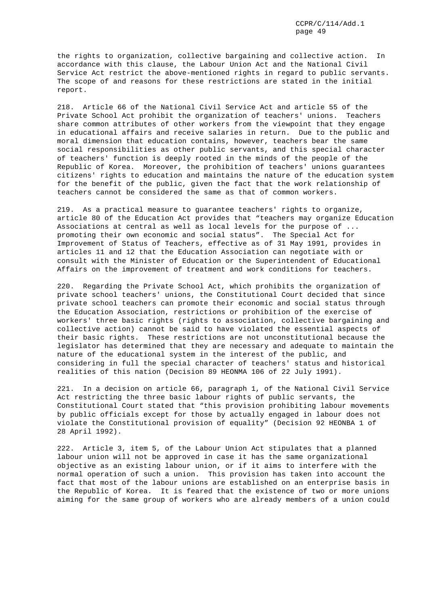the rights to organization, collective bargaining and collective action. In accordance with this clause, the Labour Union Act and the National Civil Service Act restrict the above-mentioned rights in regard to public servants. The scope of and reasons for these restrictions are stated in the initial report.

218. Article 66 of the National Civil Service Act and article 55 of the Private School Act prohibit the organization of teachers' unions. Teachers share common attributes of other workers from the viewpoint that they engage in educational affairs and receive salaries in return. Due to the public and moral dimension that education contains, however, teachers bear the same social responsibilities as other public servants, and this special character of teachers' function is deeply rooted in the minds of the people of the Republic of Korea. Moreover, the prohibition of teachers' unions guarantees citizens' rights to education and maintains the nature of the education system for the benefit of the public, given the fact that the work relationship of teachers cannot be considered the same as that of common workers.

219. As a practical measure to guarantee teachers' rights to organize, article 80 of the Education Act provides that "teachers may organize Education Associations at central as well as local levels for the purpose of ... promoting their own economic and social status". The Special Act for Improvement of Status of Teachers, effective as of 31 May 1991, provides in articles 11 and 12 that the Education Association can negotiate with or consult with the Minister of Education or the Superintendent of Educational Affairs on the improvement of treatment and work conditions for teachers.

220. Regarding the Private School Act, which prohibits the organization of private school teachers' unions, the Constitutional Court decided that since private school teachers can promote their economic and social status through the Education Association, restrictions or prohibition of the exercise of workers' three basic rights (rights to association, collective bargaining and collective action) cannot be said to have violated the essential aspects of their basic rights. These restrictions are not unconstitutional because the legislator has determined that they are necessary and adequate to maintain the nature of the educational system in the interest of the public, and considering in full the special character of teachers' status and historical realities of this nation (Decision 89 HEONMA 106 of 22 July 1991).

221. In a decision on article 66, paragraph 1, of the National Civil Service Act restricting the three basic labour rights of public servants, the Constitutional Court stated that "this provision prohibiting labour movements by public officials except for those by actually engaged in labour does not violate the Constitutional provision of equality" (Decision 92 HEONBA 1 of 28 April 1992).

222. Article 3, item 5, of the Labour Union Act stipulates that a planned labour union will not be approved in case it has the same organizational objective as an existing labour union, or if it aims to interfere with the normal operation of such a union. This provision has taken into account the fact that most of the labour unions are established on an enterprise basis in the Republic of Korea. It is feared that the existence of two or more unions aiming for the same group of workers who are already members of a union could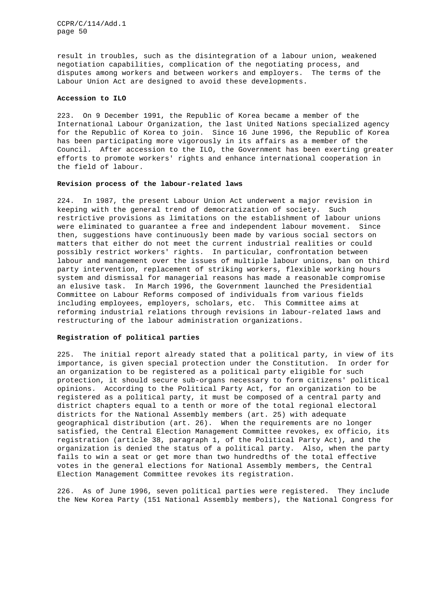result in troubles, such as the disintegration of a labour union, weakened negotiation capabilities, complication of the negotiating process, and disputes among workers and between workers and employers. The terms of the Labour Union Act are designed to avoid these developments.

# **Accession to ILO**

223. On 9 December 1991, the Republic of Korea became a member of the International Labour Organization, the last United Nations specialized agency for the Republic of Korea to join. Since 16 June 1996, the Republic of Korea has been participating more vigorously in its affairs as a member of the Council. After accession to the ILO, the Government has been exerting greater efforts to promote workers' rights and enhance international cooperation in the field of labour.

# **Revision process of the labour-related laws**

224. In 1987, the present Labour Union Act underwent a major revision in keeping with the general trend of democratization of society. Such restrictive provisions as limitations on the establishment of labour unions were eliminated to guarantee a free and independent labour movement. Since then, suggestions have continuously been made by various social sectors on matters that either do not meet the current industrial realities or could possibly restrict workers' rights. In particular, confrontation between labour and management over the issues of multiple labour unions, ban on third party intervention, replacement of striking workers, flexible working hours system and dismissal for managerial reasons has made a reasonable compromise an elusive task. In March 1996, the Government launched the Presidential Committee on Labour Reforms composed of individuals from various fields including employees, employers, scholars, etc. This Committee aims at reforming industrial relations through revisions in labour-related laws and restructuring of the labour administration organizations.

## **Registration of political parties**

225. The initial report already stated that a political party, in view of its importance, is given special protection under the Constitution. In order for an organization to be registered as a political party eligible for such protection, it should secure sub-organs necessary to form citizens' political opinions. According to the Political Party Act, for an organization to be registered as a political party, it must be composed of a central party and district chapters equal to a tenth or more of the total regional electoral districts for the National Assembly members (art. 25) with adequate geographical distribution (art. 26). When the requirements are no longer satisfied, the Central Election Management Committee revokes, ex officio, its registration (article 38, paragraph 1, of the Political Party Act), and the organization is denied the status of a political party. Also, when the party fails to win a seat or get more than two hundredths of the total effective votes in the general elections for National Assembly members, the Central Election Management Committee revokes its registration.

226. As of June 1996, seven political parties were registered. They include the New Korea Party (151 National Assembly members), the National Congress for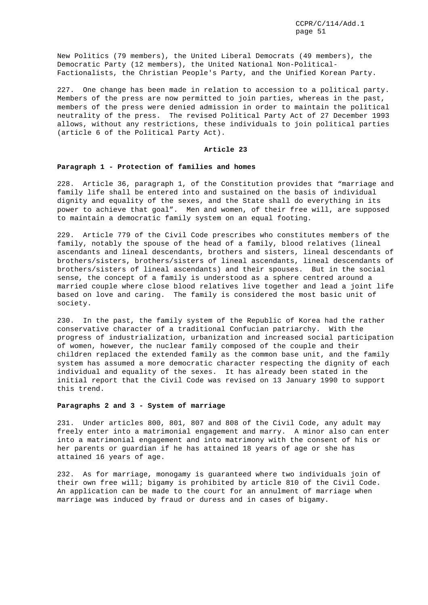New Politics (79 members), the United Liberal Democrats (49 members), the Democratic Party (12 members), the United National Non-Political-Factionalists, the Christian People's Party, and the Unified Korean Party.

227. One change has been made in relation to accession to a political party. Members of the press are now permitted to join parties, whereas in the past, members of the press were denied admission in order to maintain the political neutrality of the press. The revised Political Party Act of 27 December 1993 allows, without any restrictions, these individuals to join political parties (article 6 of the Political Party Act).

# **Article 23**

#### **Paragraph 1 - Protection of families and homes**

228. Article 36, paragraph 1, of the Constitution provides that "marriage and family life shall be entered into and sustained on the basis of individual dignity and equality of the sexes, and the State shall do everything in its power to achieve that goal". Men and women, of their free will, are supposed to maintain a democratic family system on an equal footing.

229. Article 779 of the Civil Code prescribes who constitutes members of the family, notably the spouse of the head of a family, blood relatives (lineal ascendants and lineal descendants, brothers and sisters, lineal descendants of brothers/sisters, brothers/sisters of lineal ascendants, lineal descendants of brothers/sisters of lineal ascendants) and their spouses. But in the social sense, the concept of a family is understood as a sphere centred around a married couple where close blood relatives live together and lead a joint life based on love and caring. The family is considered the most basic unit of society.

230. In the past, the family system of the Republic of Korea had the rather conservative character of a traditional Confucian patriarchy. With the progress of industrialization, urbanization and increased social participation of women, however, the nuclear family composed of the couple and their children replaced the extended family as the common base unit, and the family system has assumed a more democratic character respecting the dignity of each individual and equality of the sexes. It has already been stated in the initial report that the Civil Code was revised on 13 January 1990 to support this trend.

# **Paragraphs 2 and 3 - System of marriage**

231. Under articles 800, 801, 807 and 808 of the Civil Code, any adult may freely enter into a matrimonial engagement and marry. A minor also can enter into a matrimonial engagement and into matrimony with the consent of his or her parents or guardian if he has attained 18 years of age or she has attained 16 years of age.

232. As for marriage, monogamy is guaranteed where two individuals join of their own free will; bigamy is prohibited by article 810 of the Civil Code. An application can be made to the court for an annulment of marriage when marriage was induced by fraud or duress and in cases of bigamy.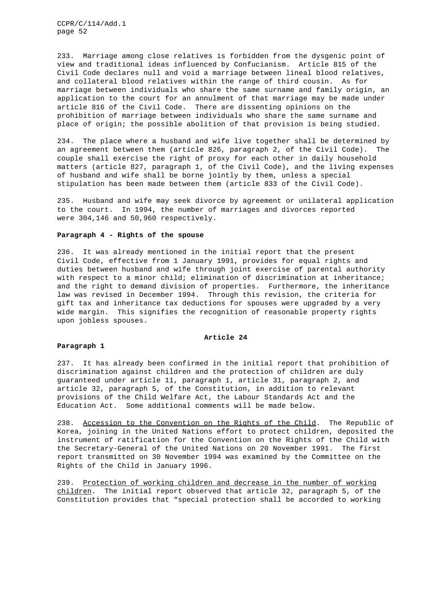233. Marriage among close relatives is forbidden from the dysgenic point of view and traditional ideas influenced by Confucianism. Article 815 of the Civil Code declares null and void a marriage between lineal blood relatives, and collateral blood relatives within the range of third cousin. As for marriage between individuals who share the same surname and family origin, an application to the court for an annulment of that marriage may be made under article 816 of the Civil Code. There are dissenting opinions on the prohibition of marriage between individuals who share the same surname and place of origin; the possible abolition of that provision is being studied.

234. The place where a husband and wife live together shall be determined by an agreement between them (article 826, paragraph 2, of the Civil Code). The couple shall exercise the right of proxy for each other in daily household matters (article 827, paragraph 1, of the Civil Code), and the living expenses of husband and wife shall be borne jointly by them, unless a special stipulation has been made between them (article 833 of the Civil Code).

235. Husband and wife may seek divorce by agreement or unilateral application to the court. In 1994, the number of marriages and divorces reported were 304,146 and 50,960 respectively.

### **Paragraph 4 - Rights of the spouse**

236. It was already mentioned in the initial report that the present Civil Code, effective from 1 January 1991, provides for equal rights and duties between husband and wife through joint exercise of parental authority with respect to a minor child; elimination of discrimination at inheritance; and the right to demand division of properties. Furthermore, the inheritance law was revised in December 1994. Through this revision, the criteria for gift tax and inheritance tax deductions for spouses were upgraded by a very wide margin. This signifies the recognition of reasonable property rights upon jobless spouses.

## **Article 24**

## **Paragraph 1**

237. It has already been confirmed in the initial report that prohibition of discrimination against children and the protection of children are duly guaranteed under article 11, paragraph 1, article 31, paragraph 2, and article 32, paragraph 5, of the Constitution, in addition to relevant provisions of the Child Welfare Act, the Labour Standards Act and the Education Act. Some additional comments will be made below.

238. Accession to the Convention on the Rights of the Child. The Republic of Korea, joining in the United Nations effort to protect children, deposited the instrument of ratification for the Convention on the Rights of the Child with the Secretary-General of the United Nations on 20 November 1991. The first report transmitted on 30 November 1994 was examined by the Committee on the Rights of the Child in January 1996.

239. Protection of working children and decrease in the number of working children. The initial report observed that article 32, paragraph 5, of the Constitution provides that "special protection shall be accorded to working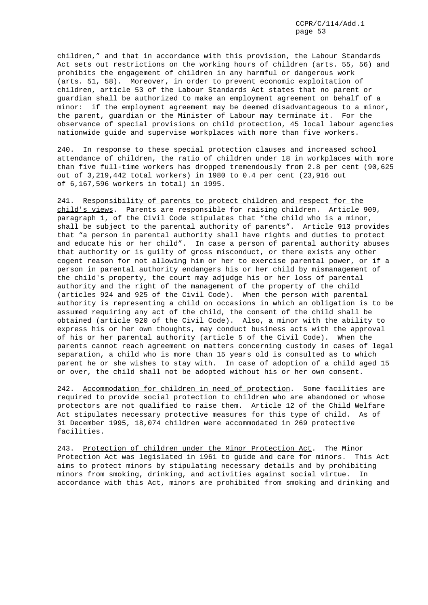children," and that in accordance with this provision, the Labour Standards Act sets out restrictions on the working hours of children (arts. 55, 56) and prohibits the engagement of children in any harmful or dangerous work (arts. 51, 58). Moreover, in order to prevent economic exploitation of children, article 53 of the Labour Standards Act states that no parent or guardian shall be authorized to make an employment agreement on behalf of a minor: if the employment agreement may be deemed disadvantageous to a minor, the parent, guardian or the Minister of Labour may terminate it. For the observance of special provisions on child protection, 45 local labour agencies nationwide guide and supervise workplaces with more than five workers.

240. In response to these special protection clauses and increased school attendance of children, the ratio of children under 18 in workplaces with more than five full-time workers has dropped tremendously from 2.8 per cent (90,625 out of 3,219,442 total workers) in 1980 to 0.4 per cent (23,916 out of 6,167,596 workers in total) in 1995.

241. Responsibility of parents to protect children and respect for the child's views. Parents are responsible for raising children. Article 909, paragraph 1, of the Civil Code stipulates that "the child who is a minor, shall be subject to the parental authority of parents". Article 913 provides that "a person in parental authority shall have rights and duties to protect and educate his or her child". In case a person of parental authority abuses that authority or is guilty of gross misconduct, or there exists any other cogent reason for not allowing him or her to exercise parental power, or if a person in parental authority endangers his or her child by mismanagement of the child's property, the court may adjudge his or her loss of parental authority and the right of the management of the property of the child (articles 924 and 925 of the Civil Code). When the person with parental authority is representing a child on occasions in which an obligation is to be assumed requiring any act of the child, the consent of the child shall be obtained (article 920 of the Civil Code). Also, a minor with the ability to express his or her own thoughts, may conduct business acts with the approval of his or her parental authority (article 5 of the Civil Code). When the parents cannot reach agreement on matters concerning custody in cases of legal separation, a child who is more than 15 years old is consulted as to which parent he or she wishes to stay with. In case of adoption of a child aged 15 or over, the child shall not be adopted without his or her own consent.

242. Accommodation for children in need of protection. Some facilities are required to provide social protection to children who are abandoned or whose protectors are not qualified to raise them. Article 12 of the Child Welfare Act stipulates necessary protective measures for this type of child. As of 31 December 1995, 18,074 children were accommodated in 269 protective facilities.

243. Protection of children under the Minor Protection Act. The Minor Protection Act was legislated in 1961 to guide and care for minors. This Act aims to protect minors by stipulating necessary details and by prohibiting minors from smoking, drinking, and activities against social virtue. In accordance with this Act, minors are prohibited from smoking and drinking and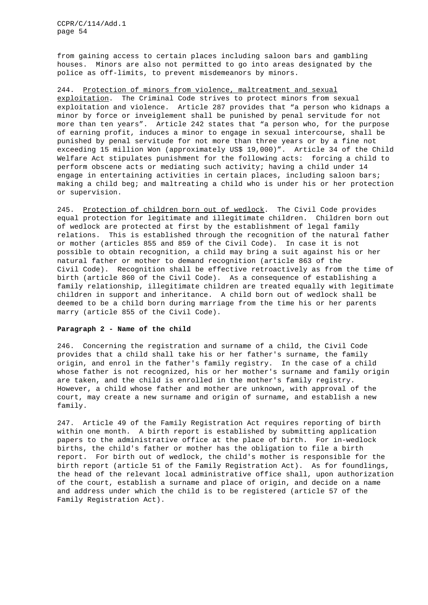from gaining access to certain places including saloon bars and gambling houses. Minors are also not permitted to go into areas designated by the police as off-limits, to prevent misdemeanors by minors.

244. Protection of minors from violence, maltreatment and sexual exploitation. The Criminal Code strives to protect minors from sexual exploitation and violence. Article 287 provides that "a person who kidnaps a minor by force or inveiglement shall be punished by penal servitude for not more than ten years". Article 242 states that "a person who, for the purpose of earning profit, induces a minor to engage in sexual intercourse, shall be punished by penal servitude for not more than three years or by a fine not exceeding 15 million Won (approximately US\$ 19,000)". Article 34 of the Child Welfare Act stipulates punishment for the following acts: forcing a child to perform obscene acts or mediating such activity; having a child under 14 engage in entertaining activities in certain places, including saloon bars; making a child beg; and maltreating a child who is under his or her protection or supervision.

245. Protection of children born out of wedlock. The Civil Code provides equal protection for legitimate and illegitimate children. Children born out of wedlock are protected at first by the establishment of legal family relations. This is established through the recognition of the natural father or mother (articles 855 and 859 of the Civil Code). In case it is not possible to obtain recognition, a child may bring a suit against his or her natural father or mother to demand recognition (article 863 of the Civil Code). Recognition shall be effective retroactively as from the time of birth (article 860 of the Civil Code). As a consequence of establishing a family relationship, illegitimate children are treated equally with legitimate children in support and inheritance. A child born out of wedlock shall be deemed to be a child born during marriage from the time his or her parents marry (article 855 of the Civil Code).

# **Paragraph 2 - Name of the child**

246. Concerning the registration and surname of a child, the Civil Code provides that a child shall take his or her father's surname, the family origin, and enrol in the father's family registry. In the case of a child whose father is not recognized, his or her mother's surname and family origin are taken, and the child is enrolled in the mother's family registry. However, a child whose father and mother are unknown, with approval of the court, may create a new surname and origin of surname, and establish a new family.

247. Article 49 of the Family Registration Act requires reporting of birth within one month. A birth report is established by submitting application papers to the administrative office at the place of birth. For in-wedlock births, the child's father or mother has the obligation to file a birth report. For birth out of wedlock, the child's mother is responsible for the birth report (article 51 of the Family Registration Act). As for foundlings, the head of the relevant local administrative office shall, upon authorization of the court, establish a surname and place of origin, and decide on a name and address under which the child is to be registered (article 57 of the Family Registration Act).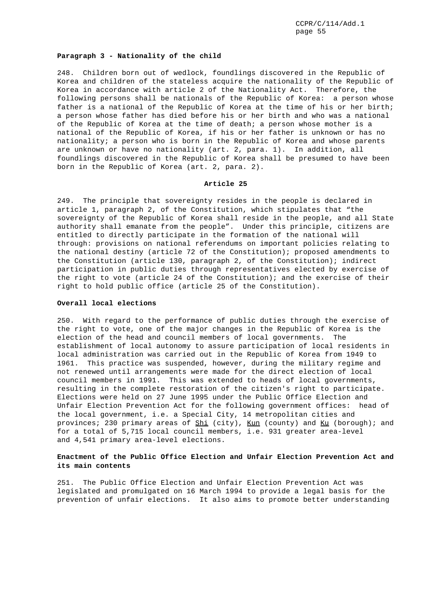### **Paragraph 3 - Nationality of the child**

248. Children born out of wedlock, foundlings discovered in the Republic of Korea and children of the stateless acquire the nationality of the Republic of Korea in accordance with article 2 of the Nationality Act. Therefore, the following persons shall be nationals of the Republic of Korea: a person whose father is a national of the Republic of Korea at the time of his or her birth; a person whose father has died before his or her birth and who was a national of the Republic of Korea at the time of death; a person whose mother is a national of the Republic of Korea, if his or her father is unknown or has no nationality; a person who is born in the Republic of Korea and whose parents are unknown or have no nationality (art. 2, para. 1). In addition, all foundlings discovered in the Republic of Korea shall be presumed to have been born in the Republic of Korea (art. 2, para. 2).

## **Article 25**

249. The principle that sovereignty resides in the people is declared in article 1, paragraph 2, of the Constitution, which stipulates that "the sovereignty of the Republic of Korea shall reside in the people, and all State authority shall emanate from the people". Under this principle, citizens are entitled to directly participate in the formation of the national will through: provisions on national referendums on important policies relating to the national destiny (article 72 of the Constitution); proposed amendments to the Constitution (article 130, paragraph 2, of the Constitution); indirect participation in public duties through representatives elected by exercise of the right to vote (article 24 of the Constitution); and the exercise of their right to hold public office (article 25 of the Constitution).

# **Overall local elections**

250. With regard to the performance of public duties through the exercise of the right to vote, one of the major changes in the Republic of Korea is the election of the head and council members of local governments. The establishment of local autonomy to assure participation of local residents in local administration was carried out in the Republic of Korea from 1949 to 1961. This practice was suspended, however, during the military regime and not renewed until arrangements were made for the direct election of local council members in 1991. This was extended to heads of local governments, resulting in the complete restoration of the citizen's right to participate. Elections were held on 27 June 1995 under the Public Office Election and Unfair Election Prevention Act for the following government offices: head of the local government, i.e. a Special City, 14 metropolitan cities and provinces; 230 primary areas of  $Shi$  (city), Kun (county) and Ku (borough); and for a total of 5,715 local council members, i.e. 931 greater area-level and 4,541 primary area-level elections.

# **Enactment of the Public Office Election and Unfair Election Prevention Act and its main contents**

251. The Public Office Election and Unfair Election Prevention Act was legislated and promulgated on 16 March 1994 to provide a legal basis for the prevention of unfair elections. It also aims to promote better understanding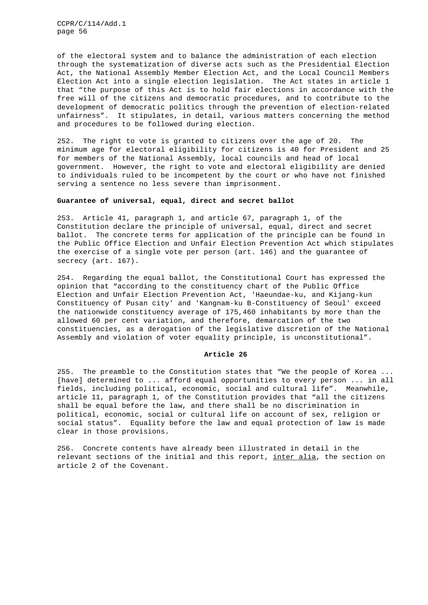of the electoral system and to balance the administration of each election through the systematization of diverse acts such as the Presidential Election Act, the National Assembly Member Election Act, and the Local Council Members Election Act into a single election legislation. The Act states in article 1 that "the purpose of this Act is to hold fair elections in accordance with the free will of the citizens and democratic procedures, and to contribute to the development of democratic politics through the prevention of election-related unfairness". It stipulates, in detail, various matters concerning the method and procedures to be followed during election.

252. The right to vote is granted to citizens over the age of 20. The minimum age for electoral eligibility for citizens is 40 for President and 25 for members of the National Assembly, local councils and head of local government. However, the right to vote and electoral eligibility are denied to individuals ruled to be incompetent by the court or who have not finished serving a sentence no less severe than imprisonment.

# **Guarantee of universal, equal, direct and secret ballot**

253. Article 41, paragraph 1, and article 67, paragraph 1, of the Constitution declare the principle of universal, equal, direct and secret ballot. The concrete terms for application of the principle can be found in the Public Office Election and Unfair Election Prevention Act which stipulates the exercise of a single vote per person (art. 146) and the guarantee of secrecy (art. 167).

254. Regarding the equal ballot, the Constitutional Court has expressed the opinion that "according to the constituency chart of the Public Office Election and Unfair Election Prevention Act, 'Haeundae-ku, and Kijang-kun Constituency of Pusan city' and 'Kangnam-ku B-Constituency of Seoul' exceed the nationwide constituency average of 175,460 inhabitants by more than the allowed 60 per cent variation, and therefore, demarcation of the two constituencies, as a derogation of the legislative discretion of the National Assembly and violation of voter equality principle, is unconstitutional".

### **Article 26**

255. The preamble to the Constitution states that "We the people of Korea ... [have] determined to ... afford equal opportunities to every person ... in all fields, including political, economic, social and cultural life". Meanwhile, article 11, paragraph 1, of the Constitution provides that "all the citizens shall be equal before the law, and there shall be no discrimination in political, economic, social or cultural life on account of sex, religion or social status". Equality before the law and equal protection of law is made clear in those provisions.

256. Concrete contents have already been illustrated in detail in the relevant sections of the initial and this report, inter alia, the section on article 2 of the Covenant.